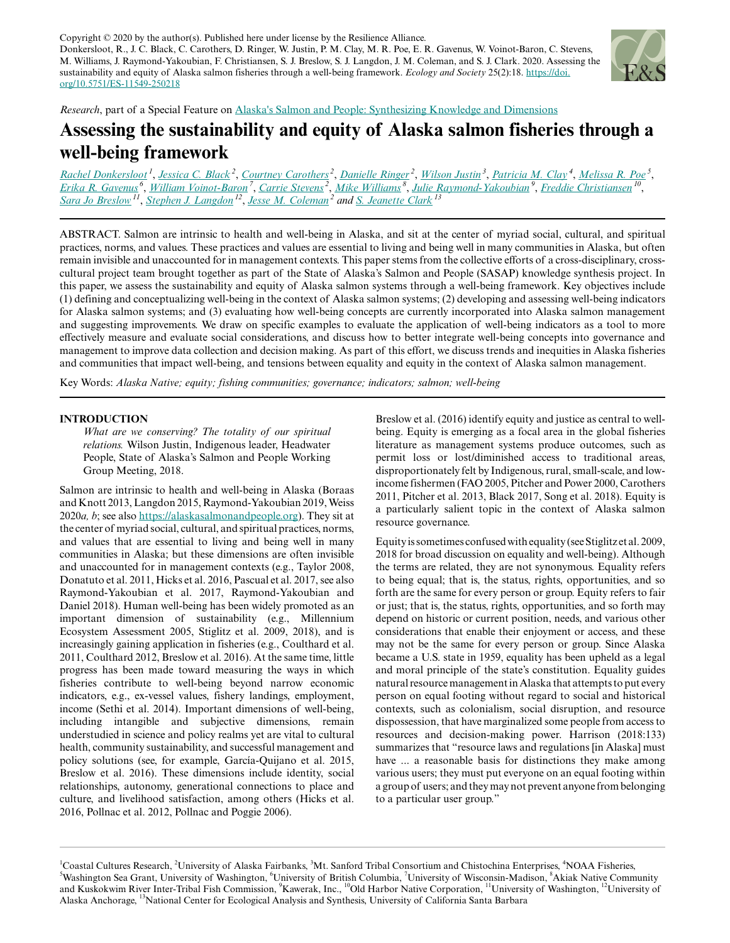Copyright © 2020 by the author(s). Published here under license by the Resilience Alliance. Donkersloot, R., J. C. Black, C. Carothers, D. Ringer, W. Justin, P. M. Clay, M. R. Poe, E. R. Gavenus, W. Voinot-Baron, C. Stevens, M. Williams, J. Raymond-Yakoubian, F. Christiansen, S. J. Breslow, S. J. Langdon, J. M. Coleman, and S. J. Clark. 2020. Assessing the sustainability and equity of Alaska salmon fisheries through a well-being framework. *Ecology and Society* 25(2):18. [https://doi.](https://doi.org/10.5751/ES-11549-250218) [org/10.5751/ES-11549-250218](https://doi.org/10.5751/ES-11549-250218)



*Research*, part of a Special Feature on [Alaska's Salmon and People: Synthesizing Knowledge and Dimensions](https://www.ecologyandsociety.org/viewissue.php?sf=139)

# **Assessing the sustainability and equity of Alaska salmon fisheries through a well-being framework**

[Rachel Donkersloot](mailto:rachel@coastalculturesresearch.com)<sup>1</sup>, [Jessica C. Black](mailto:jcblack@alaska.edu)<sup>2</sup>, [Courtney Carothers](mailto:clcarothers@alaska.edu)<sup>2</sup>, [Danielle Ringer](mailto:djringer@alaska.edu)<sup>2</sup>, [Wilson Justin](mailto:epic.spook@icloud.com)<sup>3</sup>, [Patricia M. Clay](mailto:Patricia.M.Clay@noaa.gov)<sup>4</sup>, [Melissa R. Poe](mailto:mpoe@uw.edu)<sup>5</sup>, *[Erika R. Gavenus](mailto:egavenus@gmail.com)<sup>6</sup>* , *[William Voinot-Baron](mailto:voinotbaron@wisc.edu)<sup>7</sup>* , *[Carrie Stevens](mailto:cmstevens@alaska.edu)<sup>2</sup>* , *[Mike Williams](mailto:mwilliams19522004@yahoo.com)<sup>8</sup>* , *[Julie Raymond-Yakoubian](mailto:juliery@kawerak.org)<sup>9</sup>* , *[Freddie Christiansen](mailto:fcolh@yahoo.com)<sup>10</sup>* , *[Sara Jo Breslow](mailto:sarajo@uw.edu)<sup>11</sup>* , *[Stephen J. Langdon](mailto:sjlangdon@alaska.edu)<sup>12</sup>* , *[Jesse M. Coleman](mailto:jmcoleman2@alaska.edu)<sup>2</sup> and [S. Jeanette Clark](mailto:jclark@nceas.ucsb.edu)<sup>13</sup>*

ABSTRACT. Salmon are intrinsic to health and well-being in Alaska, and sit at the center of myriad social, cultural, and spiritual practices, norms, and values. These practices and values are essential to living and being well in many communities in Alaska, but often remain invisible and unaccounted for in management contexts. This paper stems from the collective efforts of a cross-disciplinary, crosscultural project team brought together as part of the State of Alaska's Salmon and People (SASAP) knowledge synthesis project. In this paper, we assess the sustainability and equity of Alaska salmon systems through a well-being framework. Key objectives include (1) defining and conceptualizing well-being in the context of Alaska salmon systems; (2) developing and assessing well-being indicators for Alaska salmon systems; and (3) evaluating how well-being concepts are currently incorporated into Alaska salmon management and suggesting improvements. We draw on specific examples to evaluate the application of well-being indicators as a tool to more effectively measure and evaluate social considerations, and discuss how to better integrate well-being concepts into governance and management to improve data collection and decision making. As part of this effort, we discuss trends and inequities in Alaska fisheries and communities that impact well-being, and tensions between equality and equity in the context of Alaska salmon management.

Key Words: *Alaska Native; equity; fishing communities; governance; indicators; salmon; well-being*

# **INTRODUCTION**

*What are we conserving? The totality of our spiritual relations.* Wilson Justin, Indigenous leader, Headwater People, State of Alaska's Salmon and People Working Group Meeting, 2018.

Salmon are intrinsic to health and well-being in Alaska (Boraas and Knott 2013, Langdon 2015, Raymond-Yakoubian 2019, Weiss 2020*a, b*; see also [https://alaskasalmonandpeople.org\)](https://alaskasalmonandpeople.org). They sit at the center of myriad social, cultural, and spiritual practices, norms, and values that are essential to living and being well in many communities in Alaska; but these dimensions are often invisible and unaccounted for in management contexts (e.g., Taylor 2008, Donatuto et al. 2011, Hicks et al. 2016, Pascual et al. 2017, see also Raymond-Yakoubian et al. 2017, Raymond-Yakoubian and Daniel 2018). Human well-being has been widely promoted as an important dimension of sustainability (e.g., Millennium Ecosystem Assessment 2005, Stiglitz et al. 2009, 2018), and is increasingly gaining application in fisheries (e.g., Coulthard et al. 2011, Coulthard 2012, Breslow et al. 2016). At the same time, little progress has been made toward measuring the ways in which fisheries contribute to well-being beyond narrow economic indicators, e.g., ex-vessel values, fishery landings, employment, income (Sethi et al. 2014). Important dimensions of well-being, including intangible and subjective dimensions, remain understudied in science and policy realms yet are vital to cultural health, community sustainability, and successful management and policy solutions (see, for example, García-Quijano et al. 2015, Breslow et al. 2016). These dimensions include identity, social relationships, autonomy, generational connections to place and culture, and livelihood satisfaction, among others (Hicks et al. 2016, Pollnac et al. 2012, Pollnac and Poggie 2006).

Breslow et al. (2016) identify equity and justice as central to wellbeing. Equity is emerging as a focal area in the global fisheries literature as management systems produce outcomes, such as permit loss or lost/diminished access to traditional areas, disproportionately felt by Indigenous, rural, small-scale, and lowincome fishermen (FAO 2005, Pitcher and Power 2000, Carothers 2011, Pitcher et al. 2013, Black 2017, Song et al. 2018). Equity is a particularly salient topic in the context of Alaska salmon resource governance.

Equity is sometimes confused with equality (see Stiglitz et al. 2009, 2018 for broad discussion on equality and well-being). Although the terms are related, they are not synonymous. Equality refers to being equal; that is, the status, rights, opportunities, and so forth are the same for every person or group. Equity refers to fair or just; that is, the status, rights, opportunities, and so forth may depend on historic or current position, needs, and various other considerations that enable their enjoyment or access, and these may not be the same for every person or group. Since Alaska became a U.S. state in 1959, equality has been upheld as a legal and moral principle of the state's constitution. Equality guides natural resource management in Alaska that attempts to put every person on equal footing without regard to social and historical contexts, such as colonialism, social disruption, and resource dispossession, that have marginalized some people from access to resources and decision-making power. Harrison (2018:133) summarizes that "resource laws and regulations [in Alaska] must have ... a reasonable basis for distinctions they make among various users; they must put everyone on an equal footing within a group of users; and they may not prevent anyone from belonging to a particular user group."

<sup>&</sup>lt;sup>1</sup>Coastal Cultures Research, <sup>2</sup>University of Alaska Fairbanks, <sup>3</sup>Mt. Sanford Tribal Consortium and Chistochina Enterprises, <sup>4</sup>NOAA Fisheries, <sup>5</sup>Washington Sea Grant, University of Washington, <sup>6</sup>University of British Columbia, <sup>7</sup>University of Wisconsin-Madison, <sup>8</sup>Akiak Native Community and Kuskokwim River Inter-Tribal Fish Commission, <sup>9</sup>Kawerak, Inc., <sup>10</sup>Old Harbor Native Corporation, <sup>11</sup>University of Washington, <sup>12</sup>University of Alaska Anchorage, <sup>13</sup>National Center for Ecological Analysis and Synthesis, University of California Santa Barbara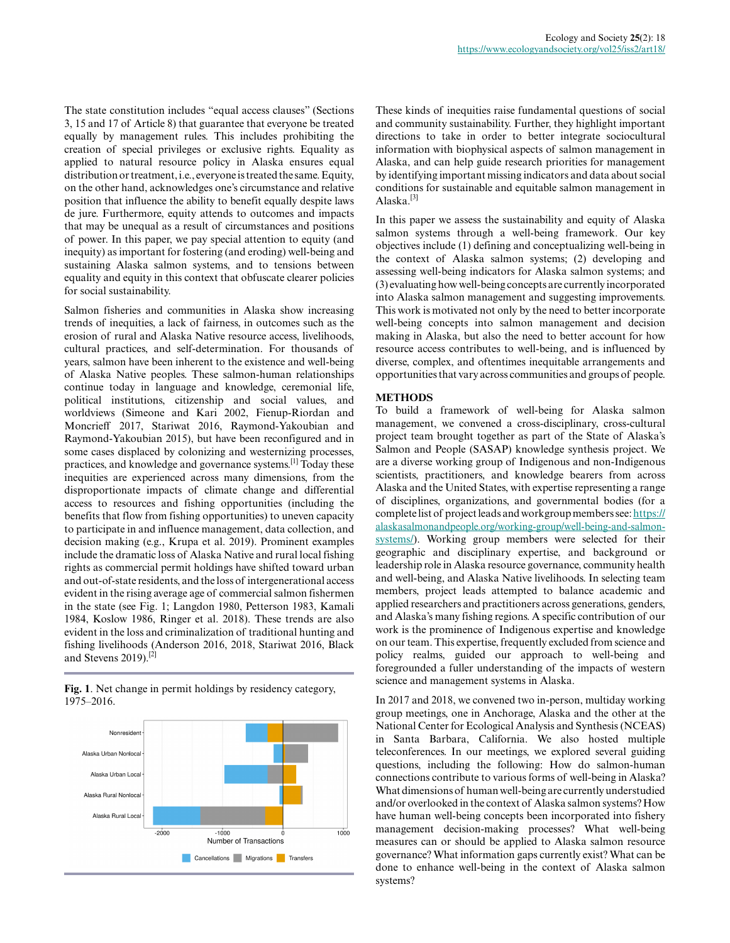The state constitution includes "equal access clauses" (Sections 3, 15 and 17 of Article 8) that guarantee that everyone be treated equally by management rules. This includes prohibiting the creation of special privileges or exclusive rights. Equality as applied to natural resource policy in Alaska ensures equal distribution or treatment, i.e., everyone is treated the same. Equity, on the other hand, acknowledges one's circumstance and relative position that influence the ability to benefit equally despite laws de jure. Furthermore, equity attends to outcomes and impacts that may be unequal as a result of circumstances and positions of power. In this paper, we pay special attention to equity (and inequity) as important for fostering (and eroding) well-being and sustaining Alaska salmon systems, and to tensions between equality and equity in this context that obfuscate clearer policies for social sustainability.

Salmon fisheries and communities in Alaska show increasing trends of inequities, a lack of fairness, in outcomes such as the erosion of rural and Alaska Native resource access, livelihoods, cultural practices, and self-determination. For thousands of years, salmon have been inherent to the existence and well-being of Alaska Native peoples. These salmon-human relationships continue today in language and knowledge, ceremonial life, political institutions, citizenship and social values, and worldviews (Simeone and Kari 2002, Fienup-Riordan and Moncrieff 2017, Stariwat 2016, Raymond-Yakoubian and Raymond-Yakoubian 2015), but have been reconfigured and in some cases displaced by colonizing and westernizing processes, practices, and knowledge and governance systems.[1] Today these inequities are experienced across many dimensions, from the disproportionate impacts of climate change and differential access to resources and fishing opportunities (including the benefits that flow from fishing opportunities) to uneven capacity to participate in and influence management, data collection, and decision making (e.g., Krupa et al. 2019). Prominent examples include the dramatic loss of Alaska Native and rural local fishing rights as commercial permit holdings have shifted toward urban and out-of-state residents, and the loss of intergenerational access evident in the rising average age of commercial salmon fishermen in the state (see Fig. 1; Langdon 1980, Petterson 1983, Kamali 1984, Koslow 1986, Ringer et al. 2018). These trends are also evident in the loss and criminalization of traditional hunting and fishing livelihoods (Anderson 2016, 2018, Stariwat 2016, Black and Stevens 2019).<sup>[2]</sup>

**Fig. 1**. Net change in permit holdings by residency category, 1975–2016.



These kinds of inequities raise fundamental questions of social and community sustainability. Further, they highlight important directions to take in order to better integrate sociocultural information with biophysical aspects of salmon management in Alaska, and can help guide research priorities for management by identifying important missing indicators and data about social conditions for sustainable and equitable salmon management in Alaska.<sup>[3]</sup>

In this paper we assess the sustainability and equity of Alaska salmon systems through a well-being framework. Our key objectives include (1) defining and conceptualizing well-being in the context of Alaska salmon systems; (2) developing and assessing well-being indicators for Alaska salmon systems; and (3) evaluating how well-being concepts are currently incorporated into Alaska salmon management and suggesting improvements. This work is motivated not only by the need to better incorporate well-being concepts into salmon management and decision making in Alaska, but also the need to better account for how resource access contributes to well-being, and is influenced by diverse, complex, and oftentimes inequitable arrangements and opportunities that vary across communities and groups of people.

# **METHODS**

To build a framework of well-being for Alaska salmon management, we convened a cross-disciplinary, cross-cultural project team brought together as part of the State of Alaska's Salmon and People (SASAP) knowledge synthesis project. We are a diverse working group of Indigenous and non-Indigenous scientists, practitioners, and knowledge bearers from across Alaska and the United States, with expertise representing a range of disciplines, organizations, and governmental bodies (for a complete list of project leads and workgroup members see: [https://](https://alaskasalmonandpeople.org/working-group/well-being-and-salmon-systems/) [alaskasalmonandpeople.org/working-group/well-being-and-salmon](https://alaskasalmonandpeople.org/working-group/well-being-and-salmon-systems/)[systems/\)](https://alaskasalmonandpeople.org/working-group/well-being-and-salmon-systems/). Working group members were selected for their geographic and disciplinary expertise, and background or leadership role in Alaska resource governance, community health and well-being, and Alaska Native livelihoods. In selecting team members, project leads attempted to balance academic and applied researchers and practitioners across generations, genders, and Alaska's many fishing regions. A specific contribution of our work is the prominence of Indigenous expertise and knowledge on our team. This expertise, frequently excluded from science and policy realms, guided our approach to well-being and foregrounded a fuller understanding of the impacts of western science and management systems in Alaska.

In 2017 and 2018, we convened two in-person, multiday working group meetings, one in Anchorage, Alaska and the other at the National Center for Ecological Analysis and Synthesis (NCEAS) in Santa Barbara, California. We also hosted multiple teleconferences. In our meetings, we explored several guiding questions, including the following: How do salmon-human connections contribute to various forms of well-being in Alaska? What dimensions of human well-being are currently understudied and/or overlooked in the context of Alaska salmon systems? How have human well-being concepts been incorporated into fishery management decision-making processes? What well-being measures can or should be applied to Alaska salmon resource governance? What information gaps currently exist? What can be done to enhance well-being in the context of Alaska salmon systems?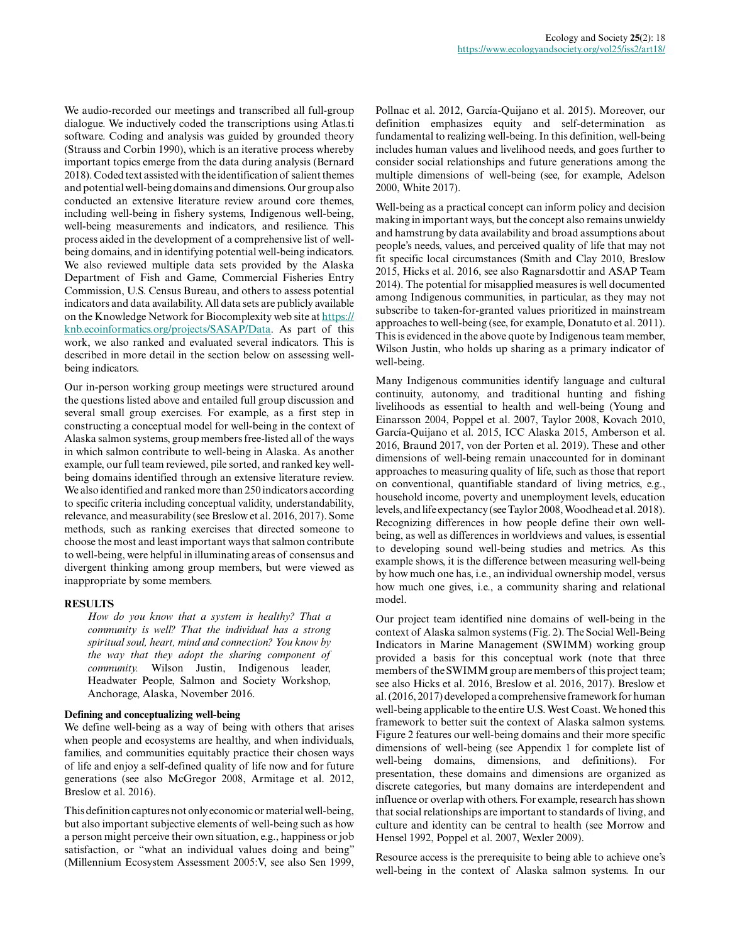We audio-recorded our meetings and transcribed all full-group dialogue. We inductively coded the transcriptions using Atlas.ti software. Coding and analysis was guided by grounded theory (Strauss and Corbin 1990), which is an iterative process whereby important topics emerge from the data during analysis (Bernard 2018). Coded text assisted with the identification of salient themes and potential well-being domains and dimensions. Our group also conducted an extensive literature review around core themes, including well-being in fishery systems, Indigenous well-being, well-being measurements and indicators, and resilience. This process aided in the development of a comprehensive list of wellbeing domains, and in identifying potential well-being indicators. We also reviewed multiple data sets provided by the Alaska Department of Fish and Game, Commercial Fisheries Entry Commission, U.S. Census Bureau, and others to assess potential indicators and data availability. All data sets are publicly available on the Knowledge Network for Biocomplexity web site at [https://](https://knb.ecoinformatics.org/projects/SASAP/Data) [knb.ecoinformatics.org/projects/SASAP/Data](https://knb.ecoinformatics.org/projects/SASAP/Data). As part of this work, we also ranked and evaluated several indicators. This is described in more detail in the section below on assessing wellbeing indicators.

Our in-person working group meetings were structured around the questions listed above and entailed full group discussion and several small group exercises. For example, as a first step in constructing a conceptual model for well-being in the context of Alaska salmon systems, group members free-listed all of the ways in which salmon contribute to well-being in Alaska. As another example, our full team reviewed, pile sorted, and ranked key wellbeing domains identified through an extensive literature review. We also identified and ranked more than 250 indicators according to specific criteria including conceptual validity, understandability, relevance, and measurability (see Breslow et al. 2016, 2017). Some methods, such as ranking exercises that directed someone to choose the most and least important ways that salmon contribute to well-being, were helpful in illuminating areas of consensus and divergent thinking among group members, but were viewed as inappropriate by some members.

## **RESULTS**

*How do you know that a system is healthy? That a community is well? That the individual has a strong spiritual soul, heart, mind and connection? You know by the way that they adopt the sharing component of community.* Wilson Justin, Indigenous leader, Headwater People, Salmon and Society Workshop, Anchorage, Alaska, November 2016.

# **Defining and conceptualizing well-being**

We define well-being as a way of being with others that arises when people and ecosystems are healthy, and when individuals, families, and communities equitably practice their chosen ways of life and enjoy a self-defined quality of life now and for future generations (see also McGregor 2008, Armitage et al. 2012, Breslow et al. 2016).

This definition captures not only economic or material well-being, but also important subjective elements of well-being such as how a person might perceive their own situation, e.g., happiness or job satisfaction, or "what an individual values doing and being" (Millennium Ecosystem Assessment 2005:V, see also Sen 1999, Pollnac et al. 2012, García-Quijano et al. 2015). Moreover, our definition emphasizes equity and self-determination as fundamental to realizing well-being. In this definition, well-being includes human values and livelihood needs, and goes further to consider social relationships and future generations among the multiple dimensions of well-being (see, for example, Adelson 2000, White 2017).

Well-being as a practical concept can inform policy and decision making in important ways, but the concept also remains unwieldy and hamstrung by data availability and broad assumptions about people's needs, values, and perceived quality of life that may not fit specific local circumstances (Smith and Clay 2010, Breslow 2015, Hicks et al. 2016, see also Ragnarsdottir and ASAP Team 2014). The potential for misapplied measures is well documented among Indigenous communities, in particular, as they may not subscribe to taken-for-granted values prioritized in mainstream approaches to well-being (see, for example, Donatuto et al. 2011). This is evidenced in the above quote by Indigenous team member, Wilson Justin, who holds up sharing as a primary indicator of well-being.

Many Indigenous communities identify language and cultural continuity, autonomy, and traditional hunting and fishing livelihoods as essential to health and well-being (Young and Einarsson 2004, Poppel et al. 2007, Taylor 2008, Kovach 2010, García-Quijano et al. 2015, ICC Alaska 2015, Amberson et al. 2016, Braund 2017, von der Porten et al. 2019). These and other dimensions of well-being remain unaccounted for in dominant approaches to measuring quality of life, such as those that report on conventional, quantifiable standard of living metrics, e.g., household income, poverty and unemployment levels, education levels, and life expectancy (see Taylor 2008, Woodhead et al. 2018). Recognizing differences in how people define their own wellbeing, as well as differences in worldviews and values, is essential to developing sound well-being studies and metrics. As this example shows, it is the difference between measuring well-being by how much one has, i.e., an individual ownership model, versus how much one gives, i.e., a community sharing and relational model.

Our project team identified nine domains of well-being in the context of Alaska salmon systems (Fig. 2). The Social Well-Being Indicators in Marine Management (SWIMM) working group provided a basis for this conceptual work (note that three members of the SWIMM group are members of this project team; see also Hicks et al. 2016, Breslow et al. 2016, 2017). Breslow et al. (2016, 2017) developed a comprehensive framework for human well-being applicable to the entire U.S. West Coast. We honed this framework to better suit the context of Alaska salmon systems. Figure 2 features our well-being domains and their more specific dimensions of well-being (see Appendix 1 for complete list of well-being domains, dimensions, and definitions). For presentation, these domains and dimensions are organized as discrete categories, but many domains are interdependent and influence or overlap with others. For example, research has shown that social relationships are important to standards of living, and culture and identity can be central to health (see Morrow and Hensel 1992, Poppel et al. 2007, Wexler 2009).

Resource access is the prerequisite to being able to achieve one's well-being in the context of Alaska salmon systems. In our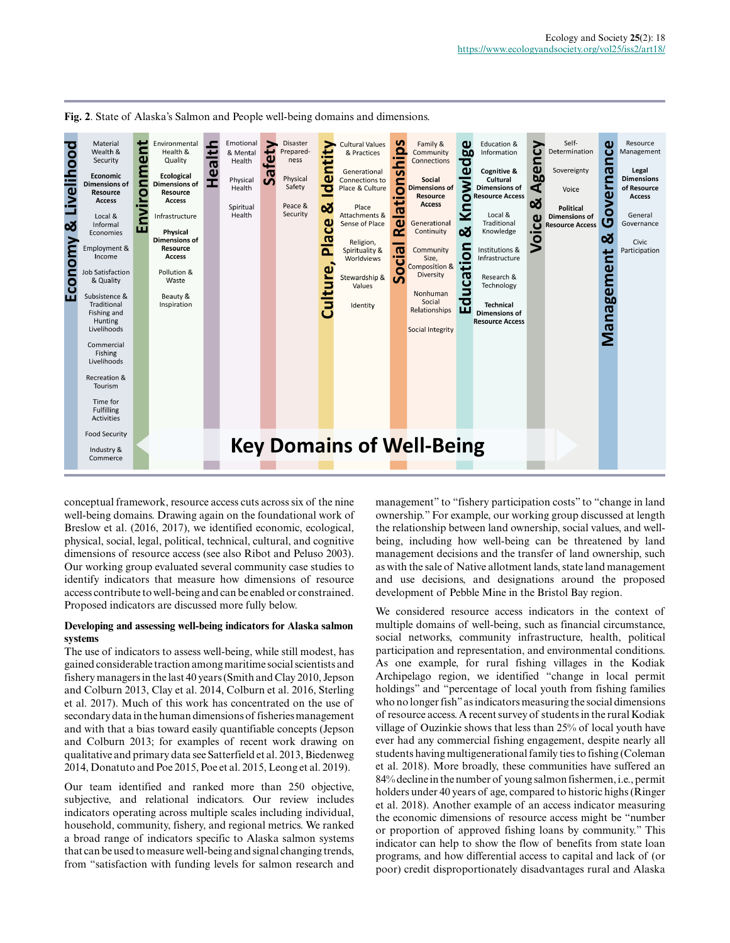

**Fig. 2**. State of Alaska's Salmon and People well-being domains and dimensions.

conceptual framework, resource access cuts across six of the nine well-being domains. Drawing again on the foundational work of Breslow et al. (2016, 2017), we identified economic, ecological, physical, social, legal, political, technical, cultural, and cognitive dimensions of resource access (see also Ribot and Peluso 2003). Our working group evaluated several community case studies to identify indicators that measure how dimensions of resource access contribute to well-being and can be enabled or constrained. Proposed indicators are discussed more fully below.

# **Developing and assessing well-being indicators for Alaska salmon systems**

The use of indicators to assess well-being, while still modest, has gained considerable traction among maritime social scientists and fishery managers in the last 40 years (Smith and Clay 2010, Jepson and Colburn 2013, Clay et al. 2014, Colburn et al. 2016, Sterling et al. 2017). Much of this work has concentrated on the use of secondary data in the human dimensions of fisheries management and with that a bias toward easily quantifiable concepts (Jepson and Colburn 2013; for examples of recent work drawing on qualitative and primary data see Satterfield et al. 2013, Biedenweg 2014, Donatuto and Poe 2015, Poe et al. 2015, Leong et al. 2019).

Our team identified and ranked more than 250 objective, subjective, and relational indicators. Our review includes indicators operating across multiple scales including individual, household, community, fishery, and regional metrics. We ranked a broad range of indicators specific to Alaska salmon systems that can be used to measure well-being and signal changing trends, from "satisfaction with funding levels for salmon research and management" to "fishery participation costs" to "change in land ownership." For example, our working group discussed at length the relationship between land ownership, social values, and wellbeing, including how well-being can be threatened by land management decisions and the transfer of land ownership, such as with the sale of Native allotment lands, state land management and use decisions, and designations around the proposed development of Pebble Mine in the Bristol Bay region.

We considered resource access indicators in the context of multiple domains of well-being, such as financial circumstance, social networks, community infrastructure, health, political participation and representation, and environmental conditions. As one example, for rural fishing villages in the Kodiak Archipelago region, we identified "change in local permit holdings" and "percentage of local youth from fishing families who no longer fish" as indicators measuring the social dimensions of resource access. A recent survey of students in the rural Kodiak village of Ouzinkie shows that less than 25% of local youth have ever had any commercial fishing engagement, despite nearly all students having multigenerational family ties to fishing (Coleman et al. 2018). More broadly, these communities have suffered an 84% decline in the number of young salmon fishermen, i.e., permit holders under 40 years of age, compared to historic highs (Ringer et al. 2018). Another example of an access indicator measuring the economic dimensions of resource access might be "number or proportion of approved fishing loans by community." This indicator can help to show the flow of benefits from state loan programs, and how differential access to capital and lack of (or poor) credit disproportionately disadvantages rural and Alaska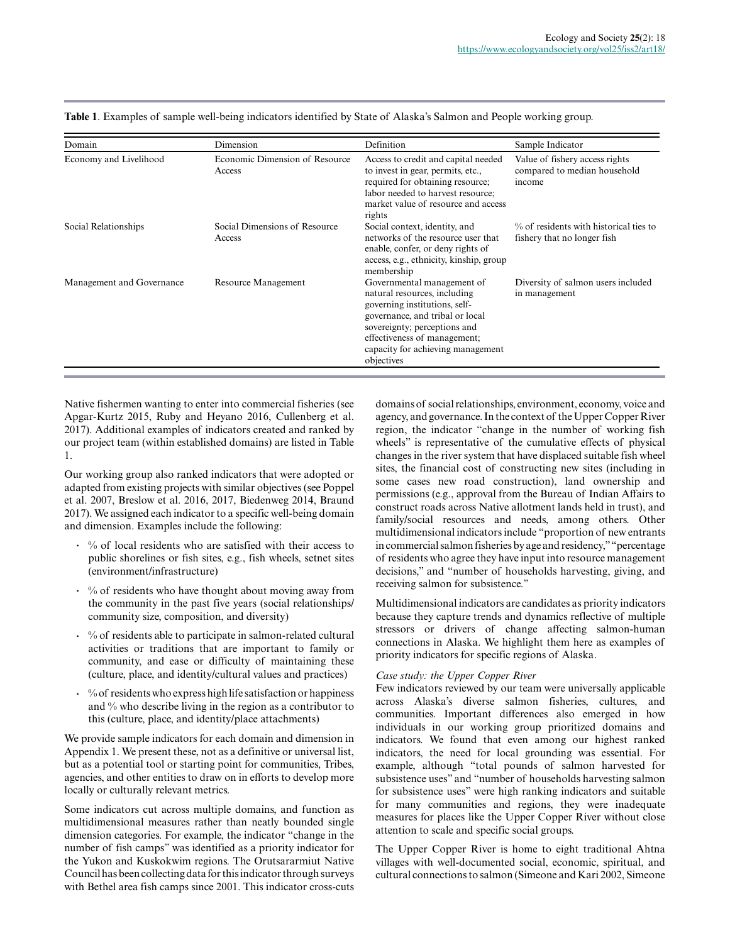| Domain                    | Dimension                                | Definition                                                                                                                                                                                                                                        | Sample Indicator                                                         |
|---------------------------|------------------------------------------|---------------------------------------------------------------------------------------------------------------------------------------------------------------------------------------------------------------------------------------------------|--------------------------------------------------------------------------|
| Economy and Livelihood    | Economic Dimension of Resource<br>Access | Access to credit and capital needed<br>to invest in gear, permits, etc.,<br>required for obtaining resource;<br>labor needed to harvest resource:<br>market value of resource and access<br>rights                                                | Value of fishery access rights<br>compared to median household<br>income |
| Social Relationships      | Social Dimensions of Resource<br>Access  | Social context, identity, and<br>networks of the resource user that<br>enable, confer, or deny rights of<br>access, e.g., ethnicity, kinship, group<br>membership                                                                                 | % of residents with historical ties to<br>fishery that no longer fish    |
| Management and Governance | Resource Management                      | Governmental management of<br>natural resources, including<br>governing institutions, self-<br>governance, and tribal or local<br>sovereignty; perceptions and<br>effectiveness of management;<br>capacity for achieving management<br>objectives | Diversity of salmon users included<br>in management                      |

**Table 1**. Examples of sample well-being indicators identified by State of Alaska's Salmon and People working group.

Native fishermen wanting to enter into commercial fisheries (see Apgar-Kurtz 2015, Ruby and Heyano 2016, Cullenberg et al. 2017). Additional examples of indicators created and ranked by our project team (within established domains) are listed in Table 1.

Our working group also ranked indicators that were adopted or adapted from existing projects with similar objectives (see Poppel et al. 2007, Breslow et al. 2016, 2017, Biedenweg 2014, Braund 2017). We assigned each indicator to a specific well-being domain and dimension. Examples include the following:

- **.** % of local residents who are satisfied with their access to public shorelines or fish sites, e.g., fish wheels, setnet sites (environment/infrastructure)
- **.** % of residents who have thought about moving away from the community in the past five years (social relationships/ community size, composition, and diversity)
- **.** % of residents able to participate in salmon-related cultural activities or traditions that are important to family or community, and ease or difficulty of maintaining these (culture, place, and identity/cultural values and practices)
- **.** % of residents who express high life satisfaction or happiness and % who describe living in the region as a contributor to this (culture, place, and identity/place attachments)

We provide sample indicators for each domain and dimension in Appendix 1. We present these, not as a definitive or universal list, but as a potential tool or starting point for communities, Tribes, agencies, and other entities to draw on in efforts to develop more locally or culturally relevant metrics.

Some indicators cut across multiple domains, and function as multidimensional measures rather than neatly bounded single dimension categories. For example, the indicator "change in the number of fish camps" was identified as a priority indicator for the Yukon and Kuskokwim regions. The Orutsararmiut Native Council has been collecting data for this indicator through surveys with Bethel area fish camps since 2001. This indicator cross-cuts

domains of social relationships, environment, economy, voice and agency, and governance. In the context of the Upper Copper River region, the indicator "change in the number of working fish wheels" is representative of the cumulative effects of physical changes in the river system that have displaced suitable fish wheel sites, the financial cost of constructing new sites (including in some cases new road construction), land ownership and permissions (e.g., approval from the Bureau of Indian Affairs to construct roads across Native allotment lands held in trust), and family/social resources and needs, among others. Other multidimensional indicators include "proportion of new entrants in commercial salmon fisheries by age and residency," "percentage of residents who agree they have input into resource management decisions," and "number of households harvesting, giving, and receiving salmon for subsistence."

Multidimensional indicators are candidates as priority indicators because they capture trends and dynamics reflective of multiple stressors or drivers of change affecting salmon-human connections in Alaska. We highlight them here as examples of priority indicators for specific regions of Alaska.

# *Case study: the Upper Copper River*

Few indicators reviewed by our team were universally applicable across Alaska's diverse salmon fisheries, cultures, and communities. Important differences also emerged in how individuals in our working group prioritized domains and indicators. We found that even among our highest ranked indicators, the need for local grounding was essential. For example, although "total pounds of salmon harvested for subsistence uses" and "number of households harvesting salmon for subsistence uses" were high ranking indicators and suitable for many communities and regions, they were inadequate measures for places like the Upper Copper River without close attention to scale and specific social groups.

The Upper Copper River is home to eight traditional Ahtna villages with well-documented social, economic, spiritual, and cultural connections to salmon (Simeone and Kari 2002, Simeone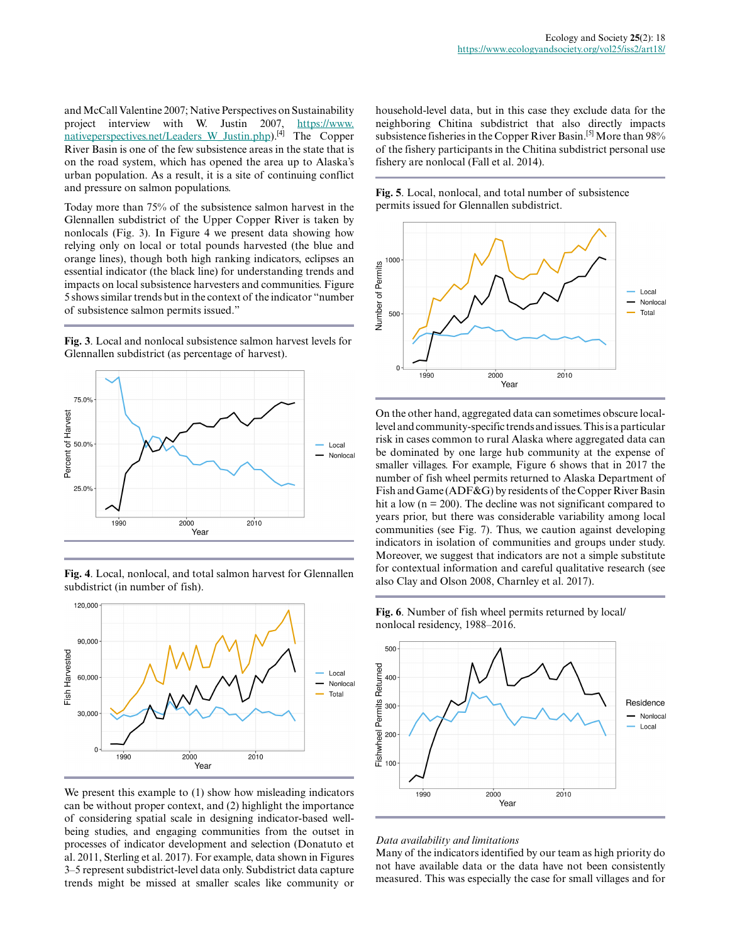and McCall Valentine 2007; Native Perspectives on Sustainability project interview with W. Justin 2007, [https://www.](https://www.nativeperspectives.net/Leaders_W_Justin.php) [nativeperspectives.net/Leaders\\_W\\_Justin.php\)](https://www.nativeperspectives.net/Leaders_W_Justin.php).[4] The Copper River Basin is one of the few subsistence areas in the state that is on the road system, which has opened the area up to Alaska's urban population. As a result, it is a site of continuing conflict and pressure on salmon populations.

Today more than 75% of the subsistence salmon harvest in the Glennallen subdistrict of the Upper Copper River is taken by nonlocals (Fig. 3). In Figure 4 we present data showing how relying only on local or total pounds harvested (the blue and orange lines), though both high ranking indicators, eclipses an essential indicator (the black line) for understanding trends and impacts on local subsistence harvesters and communities. Figure 5 shows similar trends but in the context of the indicator "number of subsistence salmon permits issued."

**Fig. 3**. Local and nonlocal subsistence salmon harvest levels for Glennallen subdistrict (as percentage of harvest).



**Fig. 4**. Local, nonlocal, and total salmon harvest for Glennallen subdistrict (in number of fish).



We present this example to  $(1)$  show how misleading indicators can be without proper context, and (2) highlight the importance of considering spatial scale in designing indicator-based wellbeing studies, and engaging communities from the outset in processes of indicator development and selection (Donatuto et al. 2011, Sterling et al. 2017). For example, data shown in Figures 3–5 represent subdistrict-level data only. Subdistrict data capture trends might be missed at smaller scales like community or

household-level data, but in this case they exclude data for the neighboring Chitina subdistrict that also directly impacts subsistence fisheries in the Copper River Basin.[5] More than 98% of the fishery participants in the Chitina subdistrict personal use fishery are nonlocal (Fall et al. 2014).

**Fig. 5**. Local, nonlocal, and total number of subsistence permits issued for Glennallen subdistrict.



On the other hand, aggregated data can sometimes obscure locallevel and community-specific trends and issues. This is a particular risk in cases common to rural Alaska where aggregated data can be dominated by one large hub community at the expense of smaller villages. For example, Figure 6 shows that in 2017 the number of fish wheel permits returned to Alaska Department of Fish and Game (ADF&G) by residents of the Copper River Basin hit a low (n = 200). The decline was not significant compared to years prior, but there was considerable variability among local communities (see Fig. 7). Thus, we caution against developing indicators in isolation of communities and groups under study. Moreover, we suggest that indicators are not a simple substitute for contextual information and careful qualitative research (see also Clay and Olson 2008, Charnley et al. 2017).

**Fig. 6**. Number of fish wheel permits returned by local/ nonlocal residency, 1988–2016.



# *Data availability and limitations*

Many of the indicators identified by our team as high priority do not have available data or the data have not been consistently measured. This was especially the case for small villages and for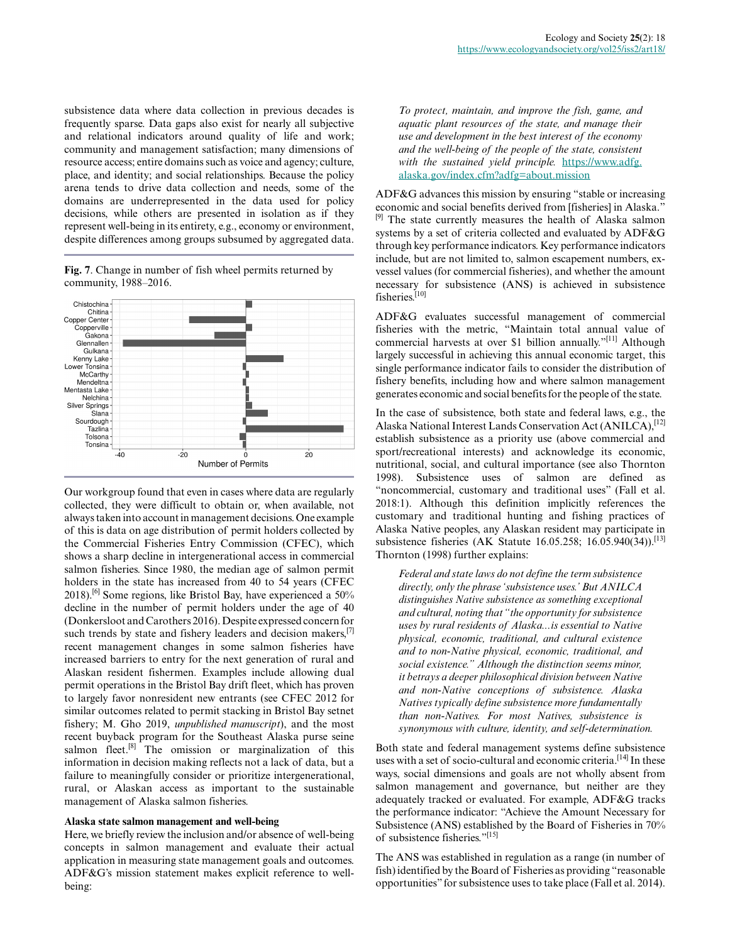subsistence data where data collection in previous decades is frequently sparse. Data gaps also exist for nearly all subjective and relational indicators around quality of life and work; community and management satisfaction; many dimensions of resource access; entire domains such as voice and agency; culture, place, and identity; and social relationships. Because the policy arena tends to drive data collection and needs, some of the domains are underrepresented in the data used for policy decisions, while others are presented in isolation as if they represent well-being in its entirety, e.g., economy or environment, despite differences among groups subsumed by aggregated data.

**Fig. 7**. Change in number of fish wheel permits returned by community, 1988–2016.



Our workgroup found that even in cases where data are regularly collected, they were difficult to obtain or, when available, not always taken into account in management decisions. One example of this is data on age distribution of permit holders collected by the Commercial Fisheries Entry Commission (CFEC), which shows a sharp decline in intergenerational access in commercial salmon fisheries. Since 1980, the median age of salmon permit holders in the state has increased from 40 to 54 years (CFEC  $2018$ .<sup>[6]</sup> Some regions, like Bristol Bay, have experienced a 50% decline in the number of permit holders under the age of 40 (Donkersloot and Carothers 2016). Despite expressed concern for such trends by state and fishery leaders and decision makers,  $[7]$ recent management changes in some salmon fisheries have increased barriers to entry for the next generation of rural and Alaskan resident fishermen. Examples include allowing dual permit operations in the Bristol Bay drift fleet, which has proven to largely favor nonresident new entrants (see CFEC 2012 for similar outcomes related to permit stacking in Bristol Bay setnet fishery; M. Gho 2019, *unpublished manuscript*), and the most recent buyback program for the Southeast Alaska purse seine salmon fleet.<sup>[8]</sup> The omission or marginalization of this information in decision making reflects not a lack of data, but a failure to meaningfully consider or prioritize intergenerational, rural, or Alaskan access as important to the sustainable management of Alaska salmon fisheries.

#### **Alaska state salmon management and well-being**

Here, we briefly review the inclusion and/or absence of well-being concepts in salmon management and evaluate their actual application in measuring state management goals and outcomes. ADF&G's mission statement makes explicit reference to wellbeing:

*To protect, maintain, and improve the fish, game, and aquatic plant resources of the state, and manage their use and development in the best interest of the economy and the well-being of the people of the state, consistent with the sustained yield principle.* [https://www.adfg.](https://www.adfg.alaska.gov/index.cfm?adfg=about.mission) [alaska.gov/index.cfm?adfg=about.mission](https://www.adfg.alaska.gov/index.cfm?adfg=about.mission)

ADF&G advances this mission by ensuring "stable or increasing economic and social benefits derived from [fisheries] in Alaska." <sup>[9]</sup> The state currently measures the health of Alaska salmon systems by a set of criteria collected and evaluated by ADF&G through key performance indicators. Key performance indicators include, but are not limited to, salmon escapement numbers, exvessel values (for commercial fisheries), and whether the amount necessary for subsistence (ANS) is achieved in subsistence fisheries.<sup>[10]</sup>

ADF&G evaluates successful management of commercial fisheries with the metric, "Maintain total annual value of commercial harvests at over \$1 billion annually."<sup>[11]</sup> Although largely successful in achieving this annual economic target, this single performance indicator fails to consider the distribution of fishery benefits, including how and where salmon management generates economic and social benefits for the people of the state.

In the case of subsistence, both state and federal laws, e.g., the Alaska National Interest Lands Conservation Act (ANILCA),[12] establish subsistence as a priority use (above commercial and sport/recreational interests) and acknowledge its economic. nutritional, social, and cultural importance (see also Thornton 1998). Subsistence uses of salmon are defined as "noncommercial, customary and traditional uses" (Fall et al. 2018:1). Although this definition implicitly references the customary and traditional hunting and fishing practices of Alaska Native peoples, any Alaskan resident may participate in subsistence fisheries (AK Statute 16.05.258; 16.05.940(34)).<sup>[13]</sup> Thornton (1998) further explains:

*Federal and state laws do not define the term subsistence directly, only the phrase 'subsistence uses.' But ANILCA distinguishes Native subsistence as something exceptional and cultural, noting that "the opportunity for subsistence uses by rural residents of Alaska...is essential to Native physical, economic, traditional, and cultural existence and to non-Native physical, economic, traditional, and social existence." Although the distinction seems minor, it betrays a deeper philosophical division between Native and non-Native conceptions of subsistence. Alaska Natives typically define subsistence more fundamentally than non-Natives. For most Natives, subsistence is synonymous with culture, identity, and self-determination.*

Both state and federal management systems define subsistence uses with a set of socio-cultural and economic criteria.[14] In these ways, social dimensions and goals are not wholly absent from salmon management and governance, but neither are they adequately tracked or evaluated. For example, ADF&G tracks the performance indicator: "Achieve the Amount Necessary for Subsistence (ANS) established by the Board of Fisheries in 70% of subsistence fisheries."[15]

The ANS was established in regulation as a range (in number of fish) identified by the Board of Fisheries as providing "reasonable opportunities" for subsistence uses to take place (Fall et al. 2014).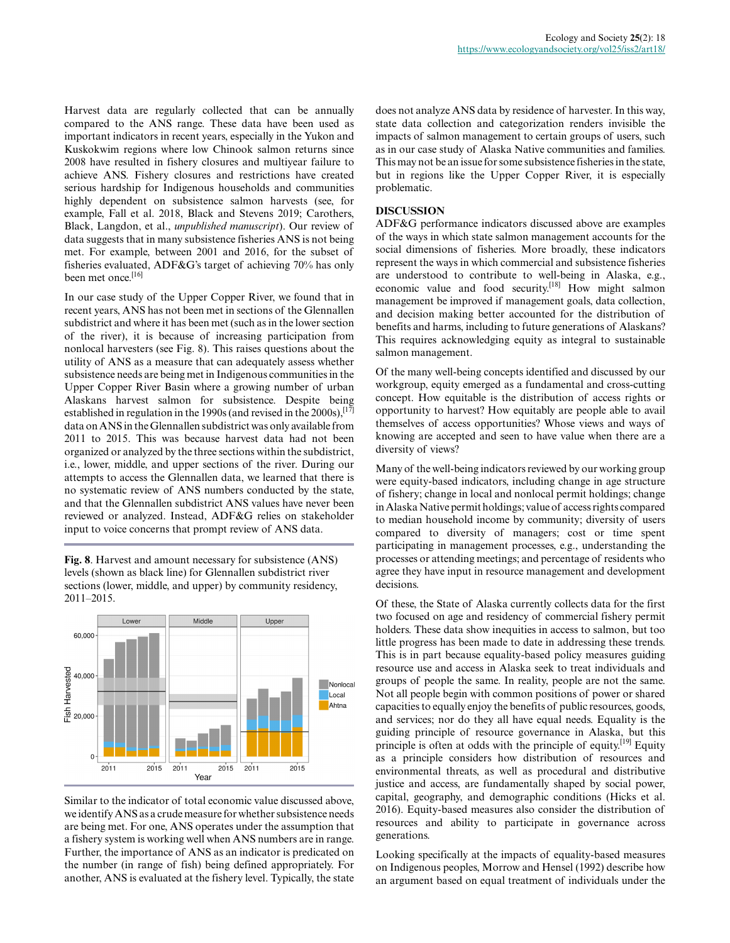Harvest data are regularly collected that can be annually compared to the ANS range. These data have been used as important indicators in recent years, especially in the Yukon and Kuskokwim regions where low Chinook salmon returns since 2008 have resulted in fishery closures and multiyear failure to achieve ANS. Fishery closures and restrictions have created serious hardship for Indigenous households and communities highly dependent on subsistence salmon harvests (see, for example, Fall et al. 2018, Black and Stevens 2019; Carothers, Black, Langdon, et al., *unpublished manuscript*). Our review of data suggests that in many subsistence fisheries ANS is not being met. For example, between 2001 and 2016, for the subset of fisheries evaluated, ADF&G's target of achieving 70% has only been met once.<sup>[16]</sup>

In our case study of the Upper Copper River, we found that in recent years, ANS has not been met in sections of the Glennallen subdistrict and where it has been met (such as in the lower section of the river), it is because of increasing participation from nonlocal harvesters (see Fig. 8). This raises questions about the utility of ANS as a measure that can adequately assess whether subsistence needs are being met in Indigenous communities in the Upper Copper River Basin where a growing number of urban Alaskans harvest salmon for subsistence. Despite being established in regulation in the 1990s (and revised in the 2000s),<sup>[17]</sup> data on ANS in the Glennallen subdistrict was only available from 2011 to 2015. This was because harvest data had not been organized or analyzed by the three sections within the subdistrict, i.e., lower, middle, and upper sections of the river. During our attempts to access the Glennallen data, we learned that there is no systematic review of ANS numbers conducted by the state, and that the Glennallen subdistrict ANS values have never been reviewed or analyzed. Instead, ADF&G relies on stakeholder input to voice concerns that prompt review of ANS data.

**Fig. 8**. Harvest and amount necessary for subsistence (ANS) levels (shown as black line) for Glennallen subdistrict river sections (lower, middle, and upper) by community residency, 2011–2015.



Similar to the indicator of total economic value discussed above, we identify ANS as a crude measure for whether subsistence needs are being met. For one, ANS operates under the assumption that a fishery system is working well when ANS numbers are in range. Further, the importance of ANS as an indicator is predicated on the number (in range of fish) being defined appropriately. For another, ANS is evaluated at the fishery level. Typically, the state does not analyze ANS data by residence of harvester. In this way, state data collection and categorization renders invisible the impacts of salmon management to certain groups of users, such as in our case study of Alaska Native communities and families. This may not be an issue for some subsistence fisheries in the state, but in regions like the Upper Copper River, it is especially problematic.

# **DISCUSSION**

ADF&G performance indicators discussed above are examples of the ways in which state salmon management accounts for the social dimensions of fisheries. More broadly, these indicators represent the ways in which commercial and subsistence fisheries are understood to contribute to well-being in Alaska, e.g., economic value and food security.[18] How might salmon management be improved if management goals, data collection, and decision making better accounted for the distribution of benefits and harms, including to future generations of Alaskans? This requires acknowledging equity as integral to sustainable salmon management.

Of the many well-being concepts identified and discussed by our workgroup, equity emerged as a fundamental and cross-cutting concept. How equitable is the distribution of access rights or opportunity to harvest? How equitably are people able to avail themselves of access opportunities? Whose views and ways of knowing are accepted and seen to have value when there are a diversity of views?

Many of the well-being indicators reviewed by our working group were equity-based indicators, including change in age structure of fishery; change in local and nonlocal permit holdings; change in Alaska Native permit holdings; value of access rights compared to median household income by community; diversity of users compared to diversity of managers; cost or time spent participating in management processes, e.g., understanding the processes or attending meetings; and percentage of residents who agree they have input in resource management and development decisions.

Of these, the State of Alaska currently collects data for the first two focused on age and residency of commercial fishery permit holders. These data show inequities in access to salmon, but too little progress has been made to date in addressing these trends. This is in part because equality-based policy measures guiding resource use and access in Alaska seek to treat individuals and groups of people the same. In reality, people are not the same. Not all people begin with common positions of power or shared capacities to equally enjoy the benefits of public resources, goods, and services; nor do they all have equal needs. Equality is the guiding principle of resource governance in Alaska, but this principle is often at odds with the principle of equity.<sup>[19]</sup> Equity as a principle considers how distribution of resources and environmental threats, as well as procedural and distributive justice and access, are fundamentally shaped by social power, capital, geography, and demographic conditions (Hicks et al. 2016). Equity-based measures also consider the distribution of resources and ability to participate in governance across generations.

Looking specifically at the impacts of equality-based measures on Indigenous peoples, Morrow and Hensel (1992) describe how an argument based on equal treatment of individuals under the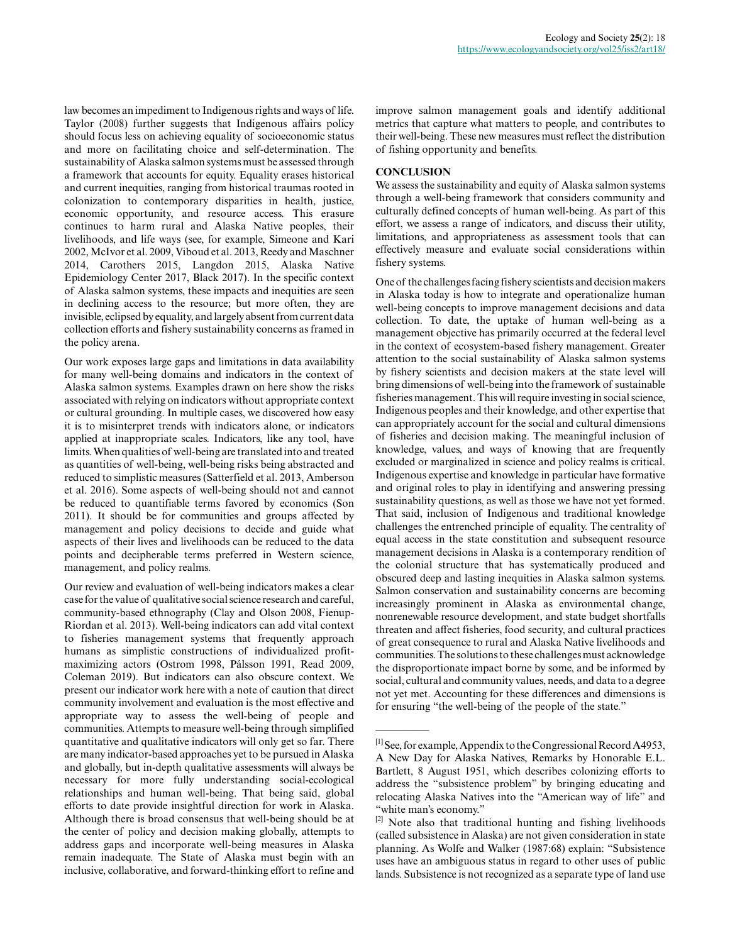law becomes an impediment to Indigenous rights and ways of life. Taylor (2008) further suggests that Indigenous affairs policy should focus less on achieving equality of socioeconomic status and more on facilitating choice and self-determination. The sustainability of Alaska salmon systems must be assessed through a framework that accounts for equity. Equality erases historical and current inequities, ranging from historical traumas rooted in colonization to contemporary disparities in health, justice, economic opportunity, and resource access. This erasure continues to harm rural and Alaska Native peoples, their livelihoods, and life ways (see, for example, Simeone and Kari 2002, McIvor et al. 2009, Viboud et al. 2013, Reedy and Maschner 2014, Carothers 2015, Langdon 2015, Alaska Native Epidemiology Center 2017, Black 2017). In the specific context of Alaska salmon systems, these impacts and inequities are seen in declining access to the resource; but more often, they are invisible, eclipsed by equality, and largely absent from current data collection efforts and fishery sustainability concerns as framed in the policy arena.

Our work exposes large gaps and limitations in data availability for many well-being domains and indicators in the context of Alaska salmon systems. Examples drawn on here show the risks associated with relying on indicators without appropriate context or cultural grounding. In multiple cases, we discovered how easy it is to misinterpret trends with indicators alone, or indicators applied at inappropriate scales. Indicators, like any tool, have limits. When qualities of well-being are translated into and treated as quantities of well-being, well-being risks being abstracted and reduced to simplistic measures (Satterfield et al. 2013, Amberson et al. 2016). Some aspects of well-being should not and cannot be reduced to quantifiable terms favored by economics (Son 2011). It should be for communities and groups affected by management and policy decisions to decide and guide what aspects of their lives and livelihoods can be reduced to the data points and decipherable terms preferred in Western science, management, and policy realms.

Our review and evaluation of well-being indicators makes a clear case for the value of qualitative social science research and careful, community-based ethnography (Clay and Olson 2008, Fienup-Riordan et al. 2013). Well-being indicators can add vital context to fisheries management systems that frequently approach humans as simplistic constructions of individualized profitmaximizing actors (Ostrom 1998, Pálsson 1991, Read 2009, Coleman 2019). But indicators can also obscure context. We present our indicator work here with a note of caution that direct community involvement and evaluation is the most effective and appropriate way to assess the well-being of people and communities. Attempts to measure well-being through simplified quantitative and qualitative indicators will only get so far. There are many indicator-based approaches yet to be pursued in Alaska and globally, but in-depth qualitative assessments will always be necessary for more fully understanding social-ecological relationships and human well-being. That being said, global efforts to date provide insightful direction for work in Alaska. Although there is broad consensus that well-being should be at the center of policy and decision making globally, attempts to address gaps and incorporate well-being measures in Alaska remain inadequate. The State of Alaska must begin with an inclusive, collaborative, and forward-thinking effort to refine and

improve salmon management goals and identify additional metrics that capture what matters to people, and contributes to their well-being. These new measures must reflect the distribution of fishing opportunity and benefits.

# **CONCLUSION**

 $\overline{\phantom{a}}$ 

We assess the sustainability and equity of Alaska salmon systems through a well-being framework that considers community and culturally defined concepts of human well-being. As part of this effort, we assess a range of indicators, and discuss their utility, limitations, and appropriateness as assessment tools that can effectively measure and evaluate social considerations within fishery systems.

One of the challenges facing fishery scientists and decision makers in Alaska today is how to integrate and operationalize human well-being concepts to improve management decisions and data collection. To date, the uptake of human well-being as a management objective has primarily occurred at the federal level in the context of ecosystem-based fishery management. Greater attention to the social sustainability of Alaska salmon systems by fishery scientists and decision makers at the state level will bring dimensions of well-being into the framework of sustainable fisheries management. This will require investing in social science, Indigenous peoples and their knowledge, and other expertise that can appropriately account for the social and cultural dimensions of fisheries and decision making. The meaningful inclusion of knowledge, values, and ways of knowing that are frequently excluded or marginalized in science and policy realms is critical. Indigenous expertise and knowledge in particular have formative and original roles to play in identifying and answering pressing sustainability questions, as well as those we have not yet formed. That said, inclusion of Indigenous and traditional knowledge challenges the entrenched principle of equality. The centrality of equal access in the state constitution and subsequent resource management decisions in Alaska is a contemporary rendition of the colonial structure that has systematically produced and obscured deep and lasting inequities in Alaska salmon systems. Salmon conservation and sustainability concerns are becoming increasingly prominent in Alaska as environmental change, nonrenewable resource development, and state budget shortfalls threaten and affect fisheries, food security, and cultural practices of great consequence to rural and Alaska Native livelihoods and communities. The solutions to these challenges must acknowledge the disproportionate impact borne by some, and be informed by social, cultural and community values, needs, and data to a degree not yet met. Accounting for these differences and dimensions is for ensuring "the well-being of the people of the state."

<sup>[1]</sup> See, for example, Appendix to the Congressional Record A4953, A New Day for Alaska Natives, Remarks by Honorable E.L. Bartlett, 8 August 1951, which describes colonizing efforts to address the "subsistence problem" by bringing educating and relocating Alaska Natives into the "American way of life" and "white man's economy."

<sup>[2]</sup> Note also that traditional hunting and fishing livelihoods (called subsistence in Alaska) are not given consideration in state planning. As Wolfe and Walker (1987:68) explain: "Subsistence uses have an ambiguous status in regard to other uses of public lands. Subsistence is not recognized as a separate type of land use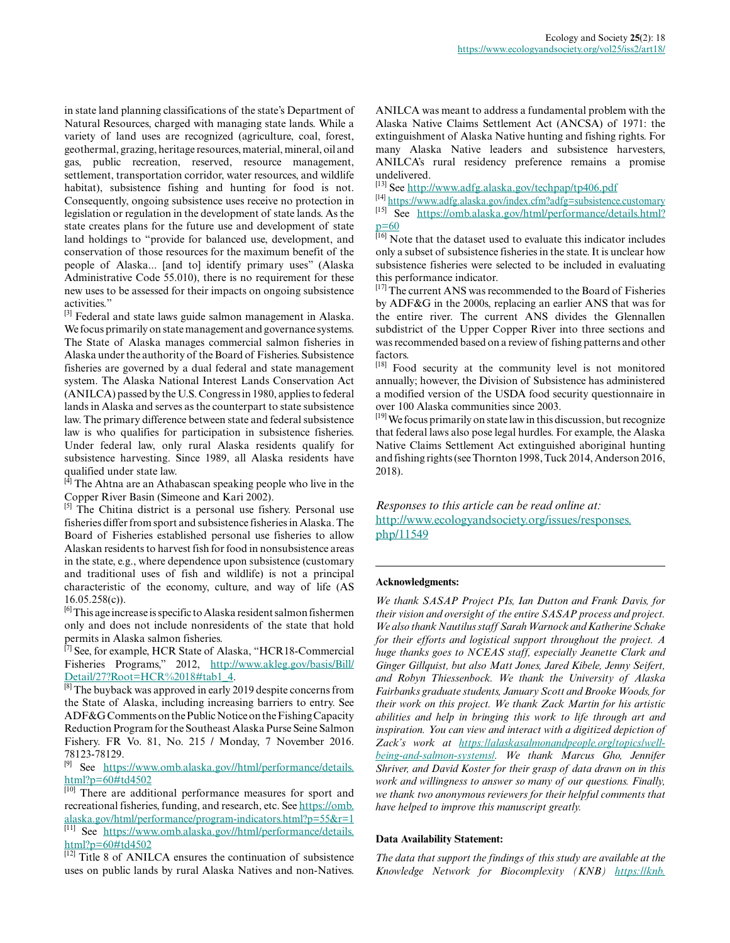in state land planning classifications of the state's Department of Natural Resources, charged with managing state lands. While a variety of land uses are recognized (agriculture, coal, forest, geothermal, grazing, heritage resources, material, mineral, oil and gas, public recreation, reserved, resource management, settlement, transportation corridor, water resources, and wildlife habitat), subsistence fishing and hunting for food is not. Consequently, ongoing subsistence uses receive no protection in legislation or regulation in the development of state lands. As the state creates plans for the future use and development of state land holdings to "provide for balanced use, development, and conservation of those resources for the maximum benefit of the people of Alaska... [and to] identify primary uses" (Alaska Administrative Code 55.010), there is no requirement for these new uses to be assessed for their impacts on ongoing subsistence activities."

[3] Federal and state laws guide salmon management in Alaska. We focus primarily on state management and governance systems. The State of Alaska manages commercial salmon fisheries in Alaska under the authority of the Board of Fisheries. Subsistence fisheries are governed by a dual federal and state management system. The Alaska National Interest Lands Conservation Act (ANILCA) passed by the U.S. Congress in 1980, applies to federal lands in Alaska and serves as the counterpart to state subsistence law. The primary difference between state and federal subsistence law is who qualifies for participation in subsistence fisheries. Under federal law, only rural Alaska residents qualify for subsistence harvesting. Since 1989, all Alaska residents have qualified under state law.

<sup>[4]</sup> The Ahtna are an Athabascan speaking people who live in the Copper River Basin (Simeone and Kari 2002).

[5] The Chitina district is a personal use fishery. Personal use fisheries differ from sport and subsistence fisheries in Alaska. The Board of Fisheries established personal use fisheries to allow Alaskan residents to harvest fish for food in nonsubsistence areas in the state, e.g., where dependence upon subsistence (customary and traditional uses of fish and wildlife) is not a principal characteristic of the economy, culture, and way of life (AS 16.05.258(c)).

 $[6]$ This age increase is specific to Alaska resident salmon fishermen only and does not include nonresidents of the state that hold permits in Alaska salmon fisheries.

<sup>[7]</sup> See, for example, HCR State of Alaska, "HCR18-Commercial" Fisheries Programs," 2012, [http://www.akleg.gov/basis/Bill/](http://www.akleg.gov/basis/Bill/Detail/27?Root=HCR%2018#tab1_4) [Detail/27?Root=HCR%2018#tab1\\_4.](http://www.akleg.gov/basis/Bill/Detail/27?Root=HCR%2018#tab1_4)

<sup>[8]</sup> The buyback was approved in early 2019 despite concerns from the State of Alaska, including increasing barriers to entry. See ADF&G Comments on the Public Notice on the Fishing Capacity Reduction Program for the Southeast Alaska Purse Seine Salmon Fishery. FR Vo. 81, No. 215 / Monday, 7 November 2016. 78123-78129.

[9] See [https://www.omb.alaska.gov//html/performance/details.](https://www.omb.alaska.gov//html/performance/details.html?p=60#td4502) [html?p=60#td4502](https://www.omb.alaska.gov//html/performance/details.html?p=60#td4502)

[10] There are additional performance measures for sport and recreational fisheries, funding, and research, etc. See [https://omb.](https://omb.alaska.gov/html/performance/program-indicators.html?p=55&r=1) [alaska.gov/html/performance/program-indicators.html?p=55&r=1](https://omb.alaska.gov/html/performance/program-indicators.html?p=55&r=1) [11] See [https://www.omb.alaska.gov//html/performance/details.](https://www.omb.alaska.gov//html/performance/details.html?p=60#td4502) [html?p=60#td4502](https://www.omb.alaska.gov//html/performance/details.html?p=60#td4502)

[12] Title 8 of ANILCA ensures the continuation of subsistence uses on public lands by rural Alaska Natives and non-Natives. ANILCA was meant to address a fundamental problem with the Alaska Native Claims Settlement Act (ANCSA) of 1971: the extinguishment of Alaska Native hunting and fishing rights. For many Alaska Native leaders and subsistence harvesters, ANILCA's rural residency preference remains a promise undelivered.

[13] See <http://www.adfg.alaska.gov/techpap/tp406.pdf>

[14] <https://www.adfg.alaska.gov/index.cfm?adfg=subsistence.customary> [15] See [https://omb.alaska.gov/html/performance/details.html?](https://omb.alaska.gov/html/performance/details.html?p=60) [p=60](https://omb.alaska.gov/html/performance/details.html?p=60)

 $\overline{16}$  Note that the dataset used to evaluate this indicator includes only a subset of subsistence fisheries in the state. It is unclear how subsistence fisheries were selected to be included in evaluating this performance indicator.

 $[17]$  The current ANS was recommended to the Board of Fisheries by ADF&G in the 2000s, replacing an earlier ANS that was for the entire river. The current ANS divides the Glennallen subdistrict of the Upper Copper River into three sections and was recommended based on a review of fishing patterns and other factors.

[18] Food security at the community level is not monitored annually; however, the Division of Subsistence has administered a modified version of the USDA food security questionnaire in over 100 Alaska communities since 2003.

 $[19]$  We focus primarily on state law in this discussion, but recognize that federal laws also pose legal hurdles. For example, the Alaska Native Claims Settlement Act extinguished aboriginal hunting and fishing rights (see Thornton 1998, Tuck 2014, Anderson 2016, 2018).

*Responses to this article can be read online at:* [http://www.ecologyandsociety.org/issues/responses.](http://www.ecologyandsociety.org/issues/responses.php/11549) [php/11549](http://www.ecologyandsociety.org/issues/responses.php/11549)

## **Acknowledgments:**

*We thank SASAP Project PIs, Ian Dutton and Frank Davis, for their vision and oversight of the entire SASAP process and project. We also thank Nautilus staff Sarah Warnock and Katherine Schake for their efforts and logistical support throughout the project. A huge thanks goes to NCEAS staff, especially Jeanette Clark and Ginger Gillquist, but also Matt Jones, Jared Kibele, Jenny Seifert, and Robyn Thiessenbock. We thank the University of Alaska Fairbanks graduate students, January Scott and Brooke Woods, for their work on this project. We thank Zack Martin for his artistic abilities and help in bringing this work to life through art and inspiration. You can view and interact with a digitized depiction of Zack's work at [https://alaskasalmonandpeople.org/topics/well](https://alaskasalmonandpeople.org/topics/well-being-and-salmon-systems/)[being-and-salmon-systems/](https://alaskasalmonandpeople.org/topics/well-being-and-salmon-systems/). We thank Marcus Gho, Jennifer Shriver, and David Koster for their grasp of data drawn on in this work and willingness to answer so many of our questions. Finally, we thank two anonymous reviewers for their helpful comments that have helped to improve this manuscript greatly.*

# **Data Availability Statement:**

*The data that support the findings of this study are available at the Knowledge Network for Biocomplexity (KNB) [https://knb.](https://knb.ecoinformatics.org/)*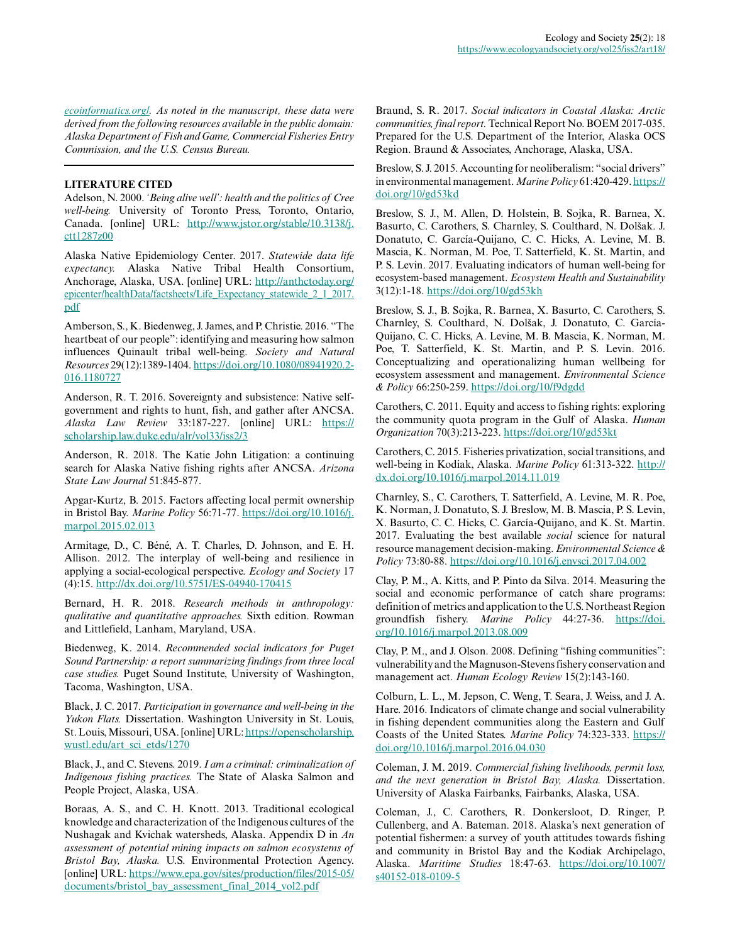*[ecoinformatics.org/](https://knb.ecoinformatics.org/). As noted in the manuscript, these data were derived from the following resources available in the public domain: Alaska Department of Fish and Game, Commercial Fisheries Entry Commission, and the U.S. Census Bureau.*

# **LITERATURE CITED**

Adelson, N. 2000. *'Being alive well': health and the politics of Cree well-being.* University of Toronto Press, Toronto, Ontario, Canada. [online] URL: [http://www.jstor.org/stable/10.3138/j.](http://www.jstor.org/stable/10.3138/j.ctt1287z00) [ctt1287z00](http://www.jstor.org/stable/10.3138/j.ctt1287z00) 

Alaska Native Epidemiology Center. 2017. *Statewide data life expectancy.* Alaska Native Tribal Health Consortium, Anchorage, Alaska, USA. [online] URL: [http://anthctoday.org/](http://anthctoday.org/epicenter/healthData/factsheets/Life_Expectancy_statewide_2_1_2017.pdf) [epicenter/healthData/factsheets/Life\\_Expectancy\\_statewide\\_2\\_1\\_2017.](http://anthctoday.org/epicenter/healthData/factsheets/Life_Expectancy_statewide_2_1_2017.pdf) [pdf](http://anthctoday.org/epicenter/healthData/factsheets/Life_Expectancy_statewide_2_1_2017.pdf)

Amberson, S., K. Biedenweg, J. James, and P. Christie. 2016. "The heartbeat of our people": identifying and measuring how salmon influences Quinault tribal well-being. *Society and Natural Resources* 29(12):1389-1404. [https://doi.org/10.1080/08941920.2](https://doi.org/10.1080/08941920.2016.1180727) [016.1180727](https://doi.org/10.1080/08941920.2016.1180727)

Anderson, R. T. 2016. Sovereignty and subsistence: Native selfgovernment and rights to hunt, fish, and gather after ANCSA. *Alaska Law Review* 33:187-227. [online] URL: [https://](https://scholarship.law.duke.edu/alr/vol33/iss2/3) [scholarship.law.duke.edu/alr/vol33/iss2/3](https://scholarship.law.duke.edu/alr/vol33/iss2/3) 

Anderson, R. 2018. The Katie John Litigation: a continuing search for Alaska Native fishing rights after ANCSA. *Arizona State Law Journal* 51:845-877.

Apgar-Kurtz, B. 2015. Factors affecting local permit ownership in Bristol Bay. *Marine Policy* 56:71-77. [https://doi.org/10.1016/j.](https://doi.org/10.1016/j.marpol.2015.02.013) [marpol.2015.02.013](https://doi.org/10.1016/j.marpol.2015.02.013) 

Armitage, D., C. Béné, A. T. Charles, D. Johnson, and E. H. Allison. 2012. The interplay of well-being and resilience in applying a social-ecological perspective. *Ecology and Society* 17 (4):15. <http://dx.doi.org/10.5751/ES-04940-170415>

Bernard, H. R. 2018. *Research methods in anthropology: qualitative and quantitative approaches.* Sixth edition. Rowman and Littlefield, Lanham, Maryland, USA.

Biedenweg, K. 2014. *Recommended social indicators for Puget Sound Partnership: a report summarizing findings from three local case studies.* Puget Sound Institute, University of Washington, Tacoma, Washington, USA.

Black, J. C. 2017. *Participation in governance and well-being in the Yukon Flats.* Dissertation. Washington University in St. Louis, St. Louis, Missouri, USA. [online] URL: [https://openscholarship.](https://openscholarship.wustl.edu/art_sci_etds/1270) [wustl.edu/art\\_sci\\_etds/1270](https://openscholarship.wustl.edu/art_sci_etds/1270) 

Black, J., and C. Stevens. 2019. *I am a criminal: criminalization of Indigenous fishing practices.* The State of Alaska Salmon and People Project, Alaska, USA.

Boraas, A. S., and C. H. Knott. 2013. Traditional ecological knowledge and characterization of the Indigenous cultures of the Nushagak and Kvichak watersheds, Alaska. Appendix D in *An assessment of potential mining impacts on salmon ecosystems of Bristol Bay, Alaska.* U.S. Environmental Protection Agency. [online] URL: [https://www.epa.gov/sites/production/files/2015-05/](https://www.epa.gov/sites/production/files/2015-05/documents/bristol_bay_assessment_final_2014_vol2.pdf) [documents/bristol\\_bay\\_assessment\\_final\\_2014\\_vol2.pdf](https://www.epa.gov/sites/production/files/2015-05/documents/bristol_bay_assessment_final_2014_vol2.pdf)

Braund, S. R. 2017. *Social indicators in Coastal Alaska: Arctic communities, final report.* Technical Report No. BOEM 2017-035. Prepared for the U.S. Department of the Interior, Alaska OCS Region. Braund & Associates, Anchorage, Alaska, USA.

Breslow, S. J. 2015. Accounting for neoliberalism: "social drivers" in environmental management. *Marine Policy* 61:420-429. [https://](https://doi.org/10/gd53kd) [doi.org/10/gd53kd](https://doi.org/10/gd53kd) 

Breslow, S. J., M. Allen, D. Holstein, B. Sojka, R. Barnea, X. Basurto, C. Carothers, S. Charnley, S. Coulthard, N. Dolšak. J. Donatuto, C. García-Quijano, C. C. Hicks, A. Levine, M. B. Mascia, K. Norman, M. Poe, T. Satterfield, K. St. Martin, and P. S. Levin. 2017. Evaluating indicators of human well-being for ecosystem-based management. *Ecosystem Health and Sustainability* 3(12):1-18.<https://doi.org/10/gd53kh>

Breslow, S. J., B. Sojka, R. Barnea, X. Basurto, C. Carothers, S. Charnley, S. Coulthard, N. Dolšak, J. Donatuto, C. García-Quijano, C. C. Hicks, A. Levine, M. B. Mascia, K. Norman, M. Poe, T. Satterfield, K. St. Martin, and P. S. Levin. 2016. Conceptualizing and operationalizing human wellbeing for ecosystem assessment and management. *Environmental Science & Policy* 66:250-259.<https://doi.org/10/f9dgdd>

Carothers, C. 2011. Equity and access to fishing rights: exploring the community quota program in the Gulf of Alaska. *Human Organization* 70(3):213-223. <https://doi.org/10/gd53kt>

Carothers, C. 2015. Fisheries privatization, social transitions, and well-being in Kodiak, Alaska. *Marine Policy* 61:313-322. [http://](http://dx.doi.org/10.1016/j.marpol.2014.11.019) [dx.doi.org/10.1016/j.marpol.2014.11.019](http://dx.doi.org/10.1016/j.marpol.2014.11.019)

Charnley, S., C. Carothers, T. Satterfield, A. Levine, M. R. Poe, K. Norman, J. Donatuto, S. J. Breslow, M. B. Mascia, P. S. Levin, X. Basurto, C. C. Hicks, C. García-Quijano, and K. St. Martin. 2017. Evaluating the best available *social* science for natural resource management decision-making. *Environmental Science & Policy* 73:80-88.<https://doi.org/10.1016/j.envsci.2017.04.002>

Clay, P. M., A. Kitts, and P. Pinto da Silva. 2014. Measuring the social and economic performance of catch share programs: definition of metrics and application to the U.S. Northeast Region groundfish fishery. *Marine Policy* 44:27-36. [https://doi.](https://doi.org/10.1016/j.marpol.2013.08.009) [org/10.1016/j.marpol.2013.08.009](https://doi.org/10.1016/j.marpol.2013.08.009) 

Clay, P. M., and J. Olson. 2008. Defining "fishing communities": vulnerability and the Magnuson-Stevens fishery conservation and management act. *Human Ecology Review* 15(2):143-160.

Colburn, L. L., M. Jepson, C. Weng, T. Seara, J. Weiss, and J. A. Hare. 2016. Indicators of climate change and social vulnerability in fishing dependent communities along the Eastern and Gulf Coasts of the United States. *Marine Policy* 74:323-333. [https://](https://doi.org/10.1016/j.marpol.2016.04.030) [doi.org/10.1016/j.marpol.2016.04.030](https://doi.org/10.1016/j.marpol.2016.04.030)

Coleman, J. M. 2019. *Commercial fishing livelihoods, permit loss, and the next generation in Bristol Bay, Alaska.* Dissertation. University of Alaska Fairbanks, Fairbanks, Alaska, USA.

Coleman, J., C. Carothers, R. Donkersloot, D. Ringer, P. Cullenberg, and A. Bateman. 2018. Alaska's next generation of potential fishermen: a survey of youth attitudes towards fishing and community in Bristol Bay and the Kodiak Archipelago, Alaska. *Maritime Studies* 18:47-63. [https://doi.org/10.1007/](https://doi.org/10.1007/s40152-018-0109-5) s40152-018-0109-5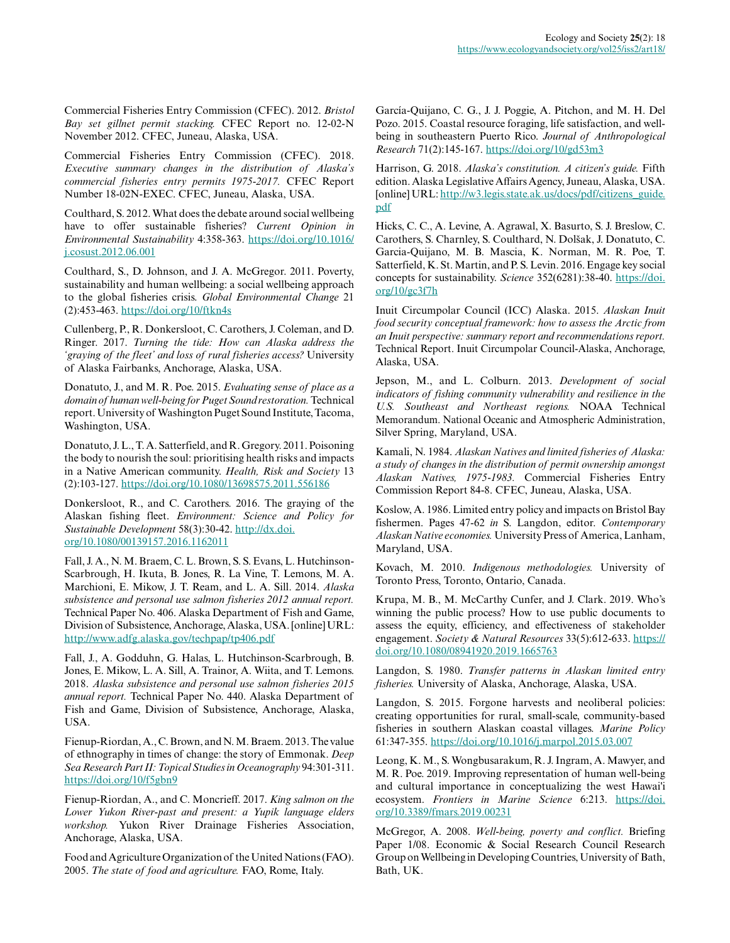Commercial Fisheries Entry Commission (CFEC). 2012. *Bristol Bay set gillnet permit stacking.* CFEC Report no. 12-02-N November 2012. CFEC, Juneau, Alaska, USA.

Commercial Fisheries Entry Commission (CFEC). 2018. *Executive summary changes in the distribution of Alaska's commercial fisheries entry permits 1975-2017.* CFEC Report Number 18-02N-EXEC. CFEC, Juneau, Alaska, USA.

Coulthard, S. 2012. What does the debate around social wellbeing have to offer sustainable fisheries? *Current Opinion in Environmental Sustainability* 4:358-363. [https://doi.org/10.1016/](https://doi.org/10.1016/j.cosust.2012.06.001) [j.cosust.2012.06.001](https://doi.org/10.1016/j.cosust.2012.06.001)

Coulthard, S., D. Johnson, and J. A. McGregor. 2011. Poverty, sustainability and human wellbeing: a social wellbeing approach to the global fisheries crisis. *Global Environmental Change* 21 (2):453-463. <https://doi.org/10/ftkn4s>

Cullenberg, P., R. Donkersloot, C. Carothers, J. Coleman, and D. Ringer. 2017. *Turning the tide: How can Alaska address the 'graying of the fleet' and loss of rural fisheries access?* University of Alaska Fairbanks, Anchorage, Alaska, USA.

Donatuto, J., and M. R. Poe. 2015. *Evaluating sense of place as a domain of human well-being for Puget Sound restoration.* Technical report. University of Washington Puget Sound Institute, Tacoma, Washington, USA.

Donatuto, J. L., T. A. Satterfield, and R. Gregory. 2011. Poisoning the body to nourish the soul: prioritising health risks and impacts in a Native American community. *Health, Risk and Society* 13 (2):103-127. <https://doi.org/10.1080/13698575.2011.556186>

Donkersloot, R., and C. Carothers. 2016. The graying of the Alaskan fishing fleet. *Environment: Science and Policy for Sustainable Development* 58(3):30-42. [http://dx.doi.](http://dx.doi.org/10.1080/00139157.2016.1162011) [org/10.1080/00139157.2016.1162011](http://dx.doi.org/10.1080/00139157.2016.1162011) 

Fall, J. A., N. M. Braem, C. L. Brown, S. S. Evans, L. Hutchinson-Scarbrough, H. Ikuta, B. Jones, R. La Vine, T. Lemons, M. A. Marchioni, E. Mikow, J. T. Ream, and L. A. Sill. 2014. *Alaska subsistence and personal use salmon fisheries 2012 annual report.* Technical Paper No. 406. Alaska Department of Fish and Game, Division of Subsistence, Anchorage, Alaska, USA. [online] URL: <http://www.adfg.alaska.gov/techpap/tp406.pdf>

Fall, J., A. Godduhn, G. Halas, L. Hutchinson-Scarbrough, B. Jones, E. Mikow, L. A. Sill, A. Trainor, A. Wiita, and T. Lemons. 2018. *Alaska subsistence and personal use salmon fisheries 2015 annual report.* Technical Paper No. 440. Alaska Department of Fish and Game, Division of Subsistence, Anchorage, Alaska, USA.

Fienup-Riordan, A., C. Brown, and N. M. Braem. 2013. The value of ethnography in times of change: the story of Emmonak. *Deep Sea Research Part II: Topical Studies in Oceanography* 94:301-311. <https://doi.org/10/f5gbn9>

Fienup-Riordan, A., and C. Moncrieff. 2017. *King salmon on the Lower Yukon River-past and present: a Yupik language elders workshop.* Yukon River Drainage Fisheries Association, Anchorage, Alaska, USA.

Food and Agriculture Organization of the United Nations (FAO). 2005. *The state of food and agriculture.* FAO, Rome, Italy.

García-Quijano, C. G., J. J. Poggie, A. Pitchon, and M. H. Del Pozo. 2015. Coastal resource foraging, life satisfaction, and wellbeing in southeastern Puerto Rico. *Journal of Anthropological Research* 71(2):145-167.<https://doi.org/10/gd53m3>

Harrison, G. 2018. *Alaska's constitution. A citizen's guide.* Fifth edition. Alaska Legislative Affairs Agency, Juneau, Alaska, USA. [online] URL: [http://w3.legis.state.ak.us/docs/pdf/citizens\\_guide.](http://w3.legis.state.ak.us/docs/pdf/citizens_guide.pdf) [pdf](http://w3.legis.state.ak.us/docs/pdf/citizens_guide.pdf)

Hicks, C. C., A. Levine, A. Agrawal, X. Basurto, S. J. Breslow, C. Carothers, S. Charnley, S. Coulthard, N. Dolšak, J. Donatuto, C. Garcia-Quijano, M. B. Mascia, K. Norman, M. R. Poe, T. Satterfield, K. St. Martin, and P. S. Levin. 2016. Engage key social concepts for sustainability. *Science* 352(6281):38-40. [https://doi.](https://doi.org/10/gc3f7h) [org/10/gc3f7h](https://doi.org/10/gc3f7h)

Inuit Circumpolar Council (ICC) Alaska. 2015. *Alaskan Inuit food security conceptual framework: how to assess the Arctic from an Inuit perspective: summary report and recommendations report.* Technical Report. Inuit Circumpolar Council-Alaska, Anchorage, Alaska, USA.

Jepson, M., and L. Colburn. 2013. *Development of social indicators of fishing community vulnerability and resilience in the U.S. Southeast and Northeast regions.* NOAA Technical Memorandum. National Oceanic and Atmospheric Administration, Silver Spring, Maryland, USA.

Kamali, N. 1984. *Alaskan Natives and limited fisheries of Alaska: a study of changes in the distribution of permit ownership amongst Alaskan Natives, 1975-1983.* Commercial Fisheries Entry Commission Report 84-8. CFEC, Juneau, Alaska, USA.

Koslow, A. 1986. Limited entry policy and impacts on Bristol Bay fishermen. Pages 47-62 *in* S. Langdon, editor. *Contemporary Alaskan Native economies.* University Press of America, Lanham, Maryland, USA.

Kovach, M. 2010. *Indigenous methodologies.* University of Toronto Press, Toronto, Ontario, Canada.

Krupa, M. B., M. McCarthy Cunfer, and J. Clark. 2019. Who's winning the public process? How to use public documents to assess the equity, efficiency, and effectiveness of stakeholder engagement. *Society & Natural Resources* 33(5):612-633. [https://](https://doi.org/10.1080/08941920.2019.1665763) [doi.org/10.1080/08941920.2019.1665763](https://doi.org/10.1080/08941920.2019.1665763)

Langdon, S. 1980. *Transfer patterns in Alaskan limited entry fisheries.* University of Alaska, Anchorage, Alaska, USA.

Langdon, S. 2015. Forgone harvests and neoliberal policies: creating opportunities for rural, small-scale, community-based fisheries in southern Alaskan coastal villages. *Marine Policy* 61:347-355.<https://doi.org/10.1016/j.marpol.2015.03.007>

Leong, K. M., S. Wongbusarakum, R. J. Ingram, A. Mawyer, and M. R. Poe. 2019. Improving representation of human well-being and cultural importance in conceptualizing the west Hawai'i ecosystem. *Frontiers in Marine Science* 6:213. [https://doi.](https://doi.org/10.3389/fmars.2019.00231) [org/10.3389/fmars.2019.00231](https://doi.org/10.3389/fmars.2019.00231) 

McGregor, A. 2008. *Well-being, poverty and conflict.* Briefing Paper 1/08. Economic & Social Research Council Research Group on Wellbeing in Developing Countries, University of Bath, Bath, UK.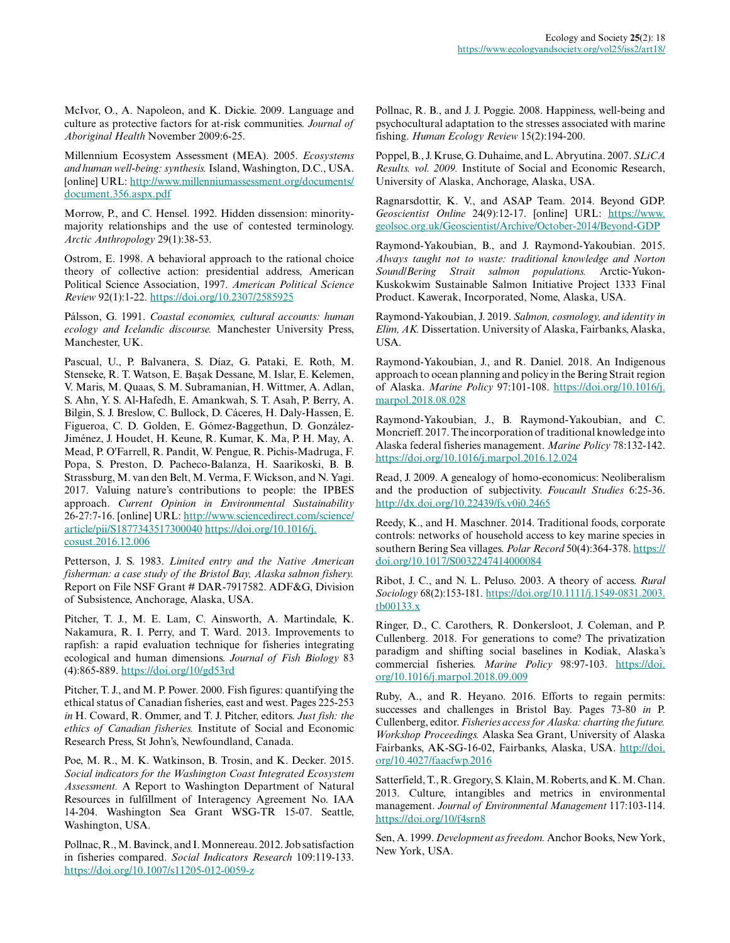McIvor, O., A. Napoleon, and K. Dickie. 2009. Language and culture as protective factors for at-risk communities. *Journal of Aboriginal Health* November 2009:6-25.

Millennium Ecosystem Assessment (MEA). 2005. *Ecosystems and human well-being: synthesis.* Island, Washington, D.C., USA. [online] URL: [http://www.millenniumassessment.org/documents/](http://www.millenniumassessment.org/documents/document.356.aspx.pdf) [document.356.aspx.pdf](http://www.millenniumassessment.org/documents/document.356.aspx.pdf)

Morrow, P., and C. Hensel. 1992. Hidden dissension: minoritymajority relationships and the use of contested terminology. *Arctic Anthropology* 29(1):38-53.

Ostrom, E. 1998. A behavioral approach to the rational choice theory of collective action: presidential address, American Political Science Association, 1997. *American Political Science Review* 92(1):1-22. <https://doi.org/10.2307/2585925>

Pálsson, G. 1991. *Coastal economies, cultural accounts: human ecology and Icelandic discourse.* Manchester University Press, Manchester, UK.

Pascual, U., P. Balvanera, S. Díaz, G. Pataki, E. Roth, M. Stenseke, R. T. Watson, E. Başak Dessane, M. Islar, E. Kelemen, V. Maris, M. Quaas, S. M. Subramanian, H. Wittmer, A. Adlan, S. Ahn, Y. S. Al-Hafedh, E. Amankwah, S. T. Asah, P. Berry, A. Bilgin, S. J. Breslow, C. Bullock, D. Cáceres, H. Daly-Hassen, E. Figueroa, C. D. Golden, E. Gómez-Baggethun, D. González-Jiménez, J. Houdet, H. Keune, R. Kumar, K. Ma, P. H. May, A. Mead, P. O'Farrell, R. Pandit, W. Pengue, R. Pichis-Madruga, F. Popa, S. Preston, D. Pacheco-Balanza, H. Saarikoski, B. B. Strassburg, M. van den Belt, M. Verma, F. Wickson, and N. Yagi. 2017. Valuing nature's contributions to people: the IPBES approach. *Current Opinion in Environmental Sustainability* 26-27:7-16. [online] URL: [http://www.sciencedirect.com/science/](http://www.sciencedirect.com/science/article/pii/S1877343517300040) [article/pii/S1877343517300040](http://www.sciencedirect.com/science/article/pii/S1877343517300040) [https://doi.org/10.1016/j.](https://doi.org/10.1016/j.cosust.2016.12.006) [cosust.2016.12.006](https://doi.org/10.1016/j.cosust.2016.12.006) 

Petterson, J. S. 1983. *Limited entry and the Native American fisherman: a case study of the Bristol Bay, Alaska salmon fishery.* Report on File NSF Grant # DAR-7917582. ADF&G, Division of Subsistence, Anchorage, Alaska, USA.

Pitcher, T. J., M. E. Lam, C. Ainsworth, A. Martindale, K. Nakamura, R. I. Perry, and T. Ward. 2013. Improvements to rapfish: a rapid evaluation technique for fisheries integrating ecological and human dimensions. *Journal of Fish Biology* 83 (4):865-889. <https://doi.org/10/gd53rd>

Pitcher, T. J., and M. P. Power. 2000. Fish figures: quantifying the ethical status of Canadian fisheries, east and west. Pages 225-253 *in* H. Coward, R. Ommer, and T. J. Pitcher, editors. *Just fish: the ethics of Canadian fisheries.* Institute of Social and Economic Research Press, St John's, Newfoundland, Canada.

Poe, M. R., M. K. Watkinson, B. Trosin, and K. Decker. 2015. *Social indicators for the Washington Coast Integrated Ecosystem Assessment.* A Report to Washington Department of Natural Resources in fulfillment of Interagency Agreement No. IAA 14-204. Washington Sea Grant WSG-TR 15-07. Seattle, Washington, USA.

Pollnac, R., M. Bavinck, and I. Monnereau. 2012. Job satisfaction in fisheries compared. *Social Indicators Research* 109:119-133. <https://doi.org/10.1007/s11205-012-0059-z>

Pollnac, R. B., and J. J. Poggie. 2008. Happiness, well-being and psychocultural adaptation to the stresses associated with marine fishing. *Human Ecology Review* 15(2):194-200.

Poppel, B., J. Kruse, G. Duhaime, and L. Abryutina. 2007. *SLiCA Results. vol. 2009.* Institute of Social and Economic Research, University of Alaska, Anchorage, Alaska, USA.

Ragnarsdottir, K. V., and ASAP Team. 2014. Beyond GDP. *Geoscientist Online* 24(9):12-17. [online] URL: [https://www.](https://www.geolsoc.org.uk/Geoscientist/Archive/October-2014/Beyond-GDP) [geolsoc.org.uk/Geoscientist/Archive/October-2014/Beyond-GDP](https://www.geolsoc.org.uk/Geoscientist/Archive/October-2014/Beyond-GDP) 

Raymond-Yakoubian, B., and J. Raymond-Yakoubian. 2015. *Always taught not to waste: traditional knowledge and Norton Sound/Bering Strait salmon populations.* Arctic-Yukon-Kuskokwim Sustainable Salmon Initiative Project 1333 Final Product. Kawerak, Incorporated, Nome, Alaska, USA.

Raymond-Yakoubian, J. 2019. *Salmon, cosmology, and identity in Elim, AK.* Dissertation. University of Alaska, Fairbanks, Alaska, USA.

Raymond-Yakoubian, J., and R. Daniel. 2018. An Indigenous approach to ocean planning and policy in the Bering Strait region of Alaska. *Marine Policy* 97:101-108. [https://doi.org/10.1016/j.](https://doi.org/10.1016/j.marpol.2018.08.028) [marpol.2018.08.028](https://doi.org/10.1016/j.marpol.2018.08.028) 

Raymond-Yakoubian, J., B. Raymond-Yakoubian, and C. Moncrieff. 2017. The incorporation of traditional knowledge into Alaska federal fisheries management. *Marine Policy* 78:132-142. <https://doi.org/10.1016/j.marpol.2016.12.024>

Read, J. 2009. A genealogy of homo-economicus: Neoliberalism and the production of subjectivity. *Foucault Studies* 6:25-36. <http://dx.doi.org/10.22439/fs.v0i0.2465>

Reedy, K., and H. Maschner. 2014. Traditional foods, corporate controls: networks of household access to key marine species in southern Bering Sea villages. *Polar Record* 50(4):364-378. [https://](https://doi.org/10.1017/S0032247414000084) [doi.org/10.1017/S0032247414000084](https://doi.org/10.1017/S0032247414000084) 

Ribot, J. C., and N. L. Peluso. 2003. A theory of access. *Rural Sociology* 68(2):153-181. [https://doi.org/10.1111/j.1549-0831.2003.](https://doi.org/10.1111/j.1549-0831.2003.tb00133.x) [tb00133.x](https://doi.org/10.1111/j.1549-0831.2003.tb00133.x)

Ringer, D., C. Carothers, R. Donkersloot, J. Coleman, and P. Cullenberg. 2018. For generations to come? The privatization paradigm and shifting social baselines in Kodiak, Alaska's commercial fisheries. *Marine Policy* 98:97-103. [https://doi.](https://doi.org/10.1016/j.marpol.2018.09.009) [org/10.1016/j.marpol.2018.09.009](https://doi.org/10.1016/j.marpol.2018.09.009) 

Ruby, A., and R. Heyano. 2016. Efforts to regain permits: successes and challenges in Bristol Bay. Pages 73-80 *in* P. Cullenberg, editor. *Fisheries access for Alaska: charting the future. Workshop Proceedings.* Alaska Sea Grant, University of Alaska Fairbanks, AK-SG-16-02, Fairbanks, Alaska, USA. [http://doi.](http://doi.org/10.4027/faacfwp.2016) [org/10.4027/faacfwp.2016](http://doi.org/10.4027/faacfwp.2016)

Satterfield, T., R. Gregory, S. Klain, M. Roberts, and K. M. Chan. 2013. Culture, intangibles and metrics in environmental management. *Journal of Environmental Management* 117:103-114. <https://doi.org/10/f4srn8>

Sen, A. 1999. *Development as freedom.* Anchor Books, New York, New York, USA.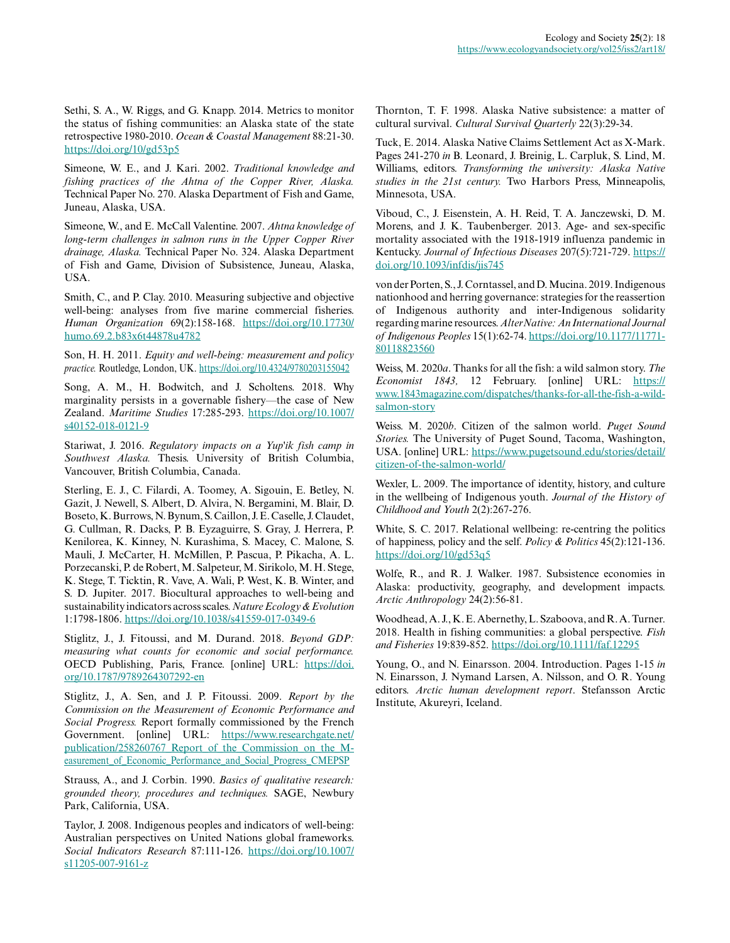Sethi, S. A., W. Riggs, and G. Knapp. 2014. Metrics to monitor the status of fishing communities: an Alaska state of the state retrospective 1980-2010. *Ocean & Coastal Management* 88:21-30. <https://doi.org/10/gd53p5>

Simeone, W. E., and J. Kari. 2002. *Traditional knowledge and fishing practices of the Ahtna of the Copper River, Alaska.* Technical Paper No. 270. Alaska Department of Fish and Game, Juneau, Alaska, USA.

Simeone, W., and E. McCall Valentine. 2007. *Ahtna knowledge of long-term challenges in salmon runs in the Upper Copper River drainage, Alaska.* Technical Paper No. 324. Alaska Department of Fish and Game, Division of Subsistence, Juneau, Alaska, USA.

Smith, C., and P. Clay. 2010. Measuring subjective and objective well-being: analyses from five marine commercial fisheries. *Human Organization* 69(2):158-168. [https://doi.org/10.17730/](https://doi.org/10.17730/humo.69.2.b83x6t44878u4782) [humo.69.2.b83x6t44878u4782](https://doi.org/10.17730/humo.69.2.b83x6t44878u4782)

Son, H. H. 2011. *Equity and well-being: measurement and policy practice.* Routledge, London, UK. <https://doi.org/10.4324/9780203155042>

Song, A. M., H. Bodwitch, and J. Scholtens. 2018. Why marginality persists in a governable fishery—the case of New Zealand. *Maritime Studies* 17:285-293. [https://doi.org/10.1007/](https://doi.org/10.1007/s40152-018-0121-9) [s40152-018-0121-9](https://doi.org/10.1007/s40152-018-0121-9) 

Stariwat, J. 2016. *Regulatory impacts on a Yup'ik fish camp in Southwest Alaska.* Thesis. University of British Columbia, Vancouver, British Columbia, Canada.

Sterling, E. J., C. Filardi, A. Toomey, A. Sigouin, E. Betley, N. Gazit, J. Newell, S. Albert, D. Alvira, N. Bergamini, M. Blair, D. Boseto, K. Burrows, N. Bynum, S. Caillon, J. E. Caselle, J. Claudet, G. Cullman, R. Dacks, P. B. Eyzaguirre, S. Gray, J. Herrera, P. Kenilorea, K. Kinney, N. Kurashima, S. Macey, C. Malone, S. Mauli, J. McCarter, H. McMillen, P. Pascua, P. Pikacha, A. L. Porzecanski, P. de Robert, M. Salpeteur, M. Sirikolo, M. H. Stege, K. Stege, T. Ticktin, R. Vave, A. Wali, P. West, K. B. Winter, and S. D. Jupiter. 2017. Biocultural approaches to well-being and sustainability indicators across scales. *Nature Ecology & Evolution* 1:1798-1806. <https://doi.org/10.1038/s41559-017-0349-6>

Stiglitz, J., J. Fitoussi, and M. Durand. 2018. *Beyond GDP: measuring what counts for economic and social performance.* OECD Publishing, Paris, France. [online] URL: [https://doi.](https://doi.org/10.1787/9789264307292-en) [org/10.1787/9789264307292-en](https://doi.org/10.1787/9789264307292-en) 

Stiglitz, J., A. Sen, and J. P. Fitoussi. 2009. *Report by the Commission on the Measurement of Economic Performance and Social Progress.* Report formally commissioned by the French Government. [online] URL: [https://www.researchgate.net/](https://www.researchgate.net/publication/258260767_Report_of_the_Commission_on_the_Measurement_of_Economic_Performance_and_Social_Progress_CMEPSP) [publication/258260767\\_Report\\_of\\_the\\_Commission\\_on\\_the\\_M](https://www.researchgate.net/publication/258260767_Report_of_the_Commission_on_the_Measurement_of_Economic_Performance_and_Social_Progress_CMEPSP)[easurement\\_of\\_Economic\\_Performance\\_and\\_Social\\_Progress\\_CMEPSP](https://www.researchgate.net/publication/258260767_Report_of_the_Commission_on_the_Measurement_of_Economic_Performance_and_Social_Progress_CMEPSP)

Strauss, A., and J. Corbin. 1990. *Basics of qualitative research: grounded theory, procedures and techniques.* SAGE, Newbury Park, California, USA.

Taylor, J. 2008. Indigenous peoples and indicators of well-being: Australian perspectives on United Nations global frameworks. *Social Indicators Research* 87:111-126. [https://doi.org/10.1007/](https://doi.org/10.1007/s11205-007-9161-z) [s11205-007-9161-z](https://doi.org/10.1007/s11205-007-9161-z)

Thornton, T. F. 1998. Alaska Native subsistence: a matter of cultural survival. *Cultural Survival Quarterly* 22(3):29-34.

Tuck, E. 2014. Alaska Native Claims Settlement Act as X-Mark. Pages 241-270 *in* B. Leonard, J. Breinig, L. Carpluk, S. Lind, M. Williams, editors. *Transforming the university: Alaska Native studies in the 21st century.* Two Harbors Press, Minneapolis, Minnesota, USA.

Viboud, C., J. Eisenstein, A. H. Reid, T. A. Janczewski, D. M. Morens, and J. K. Taubenberger. 2013. Age- and sex-specific mortality associated with the 1918-1919 influenza pandemic in Kentucky. *Journal of Infectious Diseases* 207(5):721-729. [https://](https://doi.org/10.1093/infdis/jis745) [doi.org/10.1093/infdis/jis745](https://doi.org/10.1093/infdis/jis745) 

von der Porten, S., J. Corntassel, and D. Mucina. 2019. Indigenous nationhood and herring governance: strategies for the reassertion of Indigenous authority and inter-Indigenous solidarity regarding marine resources. *AlterNative: An International Journal of Indigenous Peoples* 15(1):62-74. [https://doi.org/10.1177/11771](https://doi.org/10.1177/1177180118823560) [80118823560](https://doi.org/10.1177/1177180118823560)

Weiss, M. 2020*a*. Thanks for all the fish: a wild salmon story. *The Economist 1843,* 12 February. [online] URL: [https://](https://www.1843magazine.com/dispatches/thanks-for-all-the-fish-a-wild-salmon-story) [www.1843magazine.com/dispatches/thanks-for-all-the-fish-a-wild](https://www.1843magazine.com/dispatches/thanks-for-all-the-fish-a-wild-salmon-story)[salmon-story](https://www.1843magazine.com/dispatches/thanks-for-all-the-fish-a-wild-salmon-story)

Weiss. M. 2020*b*. Citizen of the salmon world. *Puget Sound Stories.* The University of Puget Sound, Tacoma, Washington, USA. [online] URL: [https://www.pugetsound.edu/stories/detail/](https://www.pugetsound.edu/stories/detail/citizen-of-the-salmon-world/) [citizen-of-the-salmon-world/](https://www.pugetsound.edu/stories/detail/citizen-of-the-salmon-world/) 

Wexler, L. 2009. The importance of identity, history, and culture in the wellbeing of Indigenous youth. *Journal of the History of Childhood and Youth* 2(2):267-276.

White, S. C. 2017. Relational wellbeing: re-centring the politics of happiness, policy and the self. *Policy & Politics* 45(2):121-136. <https://doi.org/10/gd53q5>

Wolfe, R., and R. J. Walker. 1987. Subsistence economies in Alaska: productivity, geography, and development impacts. *Arctic Anthropology* 24(2):56-81.

Woodhead, A. J., K. E. Abernethy, L. Szaboova, and R. A. Turner. 2018. Health in fishing communities: a global perspective. *Fish and Fisheries* 19:839-852.<https://doi.org/10.1111/faf.12295>

Young, O., and N. Einarsson. 2004. Introduction. Pages 1-15 *in* N. Einarsson, J. Nymand Larsen, A. Nilsson, and O. R. Young editors. *Arctic human development report*. Stefansson Arctic Institute, Akureyri, Iceland.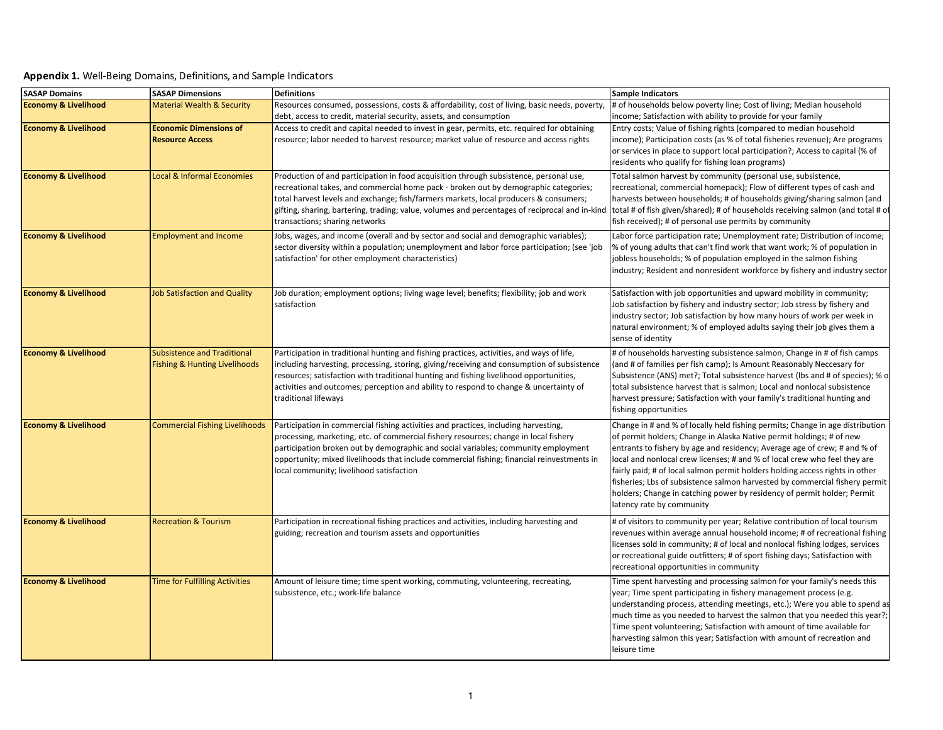# **Appendix 1.** Well-Being Domains, Definitions, and Sample Indicators

| <b>SASAP Domains</b>            | <b>SASAP Dimensions</b>                  | <b>Definitions</b>                                                                                       | Sample Indicators                                                                                                                                    |
|---------------------------------|------------------------------------------|----------------------------------------------------------------------------------------------------------|------------------------------------------------------------------------------------------------------------------------------------------------------|
| <b>Economy &amp; Livelihood</b> | <b>Material Wealth &amp; Security</b>    | Resources consumed, possessions, costs & affordability, cost of living, basic needs, poverty,            | # of households below poverty line; Cost of living; Median household                                                                                 |
|                                 |                                          | debt, access to credit, material security, assets, and consumption                                       | income; Satisfaction with ability to provide for your family                                                                                         |
| <b>Economy &amp; Livelihood</b> | <b>Economic Dimensions of</b>            | Access to credit and capital needed to invest in gear, permits, etc. required for obtaining              | Entry costs; Value of fishing rights (compared to median household                                                                                   |
|                                 | <b>Resource Access</b>                   | resource; labor needed to harvest resource; market value of resource and access rights                   | income); Participation costs (as % of total fisheries revenue); Are programs                                                                         |
|                                 |                                          |                                                                                                          | or services in place to support local participation?; Access to capital (% of                                                                        |
|                                 |                                          |                                                                                                          | residents who qualify for fishing loan programs)                                                                                                     |
| <b>Economy &amp; Livelihood</b> | <b>Local &amp; Informal Economies</b>    | Production of and participation in food acquisition through subsistence, personal use,                   | Total salmon harvest by community (personal use, subsistence,                                                                                        |
|                                 |                                          | recreational takes, and commercial home pack - broken out by demographic categories;                     | recreational, commercial homepack); Flow of different types of cash and                                                                              |
|                                 |                                          | total harvest levels and exchange; fish/farmers markets, local producers & consumers;                    | harvests between households; # of households giving/sharing salmon (and                                                                              |
|                                 |                                          | gifting, sharing, bartering, trading; value, volumes and percentages of reciprocal and in-kind           | total # of fish given/shared); # of households receiving salmon (and total # of                                                                      |
|                                 |                                          | transactions; sharing networks                                                                           | fish received); # of personal use permits by community                                                                                               |
| <b>Economy &amp; Livelihood</b> | <b>Employment and Income</b>             | Jobs, wages, and income (overall and by sector and social and demographic variables);                    | Labor force participation rate; Unemployment rate; Distribution of income;                                                                           |
|                                 |                                          | sector diversity within a population; unemployment and labor force participation; (see 'job              | % of young adults that can't find work that want work; % of population in                                                                            |
|                                 |                                          | satisfaction' for other employment characteristics)                                                      | jobless households; % of population employed in the salmon fishing                                                                                   |
|                                 |                                          |                                                                                                          | industry; Resident and nonresident workforce by fishery and industry sector                                                                          |
|                                 |                                          |                                                                                                          |                                                                                                                                                      |
| <b>Economy &amp; Livelihood</b> | <b>Job Satisfaction and Quality</b>      | Job duration; employment options; living wage level; benefits; flexibility; job and work<br>satisfaction | Satisfaction with job opportunities and upward mobility in community;<br>Job satisfaction by fishery and industry sector; Job stress by fishery and  |
|                                 |                                          |                                                                                                          | industry sector; Job satisfaction by how many hours of work per week in                                                                              |
|                                 |                                          |                                                                                                          | natural environment; % of employed adults saying their job gives them a                                                                              |
|                                 |                                          |                                                                                                          | sense of identity                                                                                                                                    |
| <b>Economy &amp; Livelihood</b> | <b>Subsistence and Traditional</b>       | Participation in traditional hunting and fishing practices, activities, and ways of life,                | # of households harvesting subsistence salmon; Change in # of fish camps                                                                             |
|                                 | <b>Fishing &amp; Hunting Livelihoods</b> | including harvesting, processing, storing, giving/receiving and consumption of subsistence               | (and # of families per fish camp); Is Amount Reasonably Neccesary for                                                                                |
|                                 |                                          | resources; satisfaction with traditional hunting and fishing livelihood opportunities,                   | Subsistence (ANS) met?; Total subsistence harvest (lbs and # of species); % of                                                                       |
|                                 |                                          | activities and outcomes; perception and ability to respond to change & uncertainty of                    | total subsistence harvest that is salmon; Local and nonlocal subsistence                                                                             |
|                                 |                                          | traditional lifeways                                                                                     | harvest pressure; Satisfaction with your family's traditional hunting and                                                                            |
|                                 |                                          |                                                                                                          | fishing opportunities                                                                                                                                |
| <b>Economy &amp; Livelihood</b> | <b>Commercial Fishing Livelihoods</b>    | Participation in commercial fishing activities and practices, including harvesting,                      | Change in # and % of locally held fishing permits; Change in age distribution                                                                        |
|                                 |                                          | processing, marketing, etc. of commercial fishery resources; change in local fishery                     | of permit holders; Change in Alaska Native permit holdings; # of new                                                                                 |
|                                 |                                          | participation broken out by demographic and social variables; community employment                       | entrants to fishery by age and residency; Average age of crew; # and % of                                                                            |
|                                 |                                          | opportunity; mixed livelihoods that include commercial fishing; financial reinvestments in               | local and nonlocal crew licenses; # and % of local crew who feel they are                                                                            |
|                                 |                                          | local community; livelihood satisfaction                                                                 | fairly paid; # of local salmon permit holders holding access rights in other                                                                         |
|                                 |                                          |                                                                                                          | fisheries; Lbs of subsistence salmon harvested by commercial fishery permit                                                                          |
|                                 |                                          |                                                                                                          | holders; Change in catching power by residency of permit holder; Permit                                                                              |
|                                 |                                          |                                                                                                          | latency rate by community                                                                                                                            |
| <b>Economy &amp; Livelihood</b> | <b>Recreation &amp; Tourism</b>          | Participation in recreational fishing practices and activities, including harvesting and                 | # of visitors to community per year; Relative contribution of local tourism                                                                          |
|                                 |                                          | guiding; recreation and tourism assets and opportunities                                                 | revenues within average annual household income; # of recreational fishing                                                                           |
|                                 |                                          |                                                                                                          | licenses sold in community; # of local and nonlocal fishing lodges, services                                                                         |
|                                 |                                          |                                                                                                          | or recreational guide outfitters; # of sport fishing days; Satisfaction with                                                                         |
|                                 |                                          |                                                                                                          | recreational opportunities in community                                                                                                              |
| <b>Economy &amp; Livelihood</b> | <b>Time for Fulfilling Activities</b>    | Amount of leisure time; time spent working, commuting, volunteering, recreating,                         | Time spent harvesting and processing salmon for your family's needs this                                                                             |
|                                 |                                          | subsistence, etc.; work-life balance                                                                     | year; Time spent participating in fishery management process (e.g.                                                                                   |
|                                 |                                          |                                                                                                          | understanding process, attending meetings, etc.); Were you able to spend as                                                                          |
|                                 |                                          |                                                                                                          | much time as you needed to harvest the salmon that you needed this year?;<br>Time spent volunteering; Satisfaction with amount of time available for |
|                                 |                                          |                                                                                                          | harvesting salmon this year; Satisfaction with amount of recreation and                                                                              |
|                                 |                                          |                                                                                                          | leisure time                                                                                                                                         |
|                                 |                                          |                                                                                                          |                                                                                                                                                      |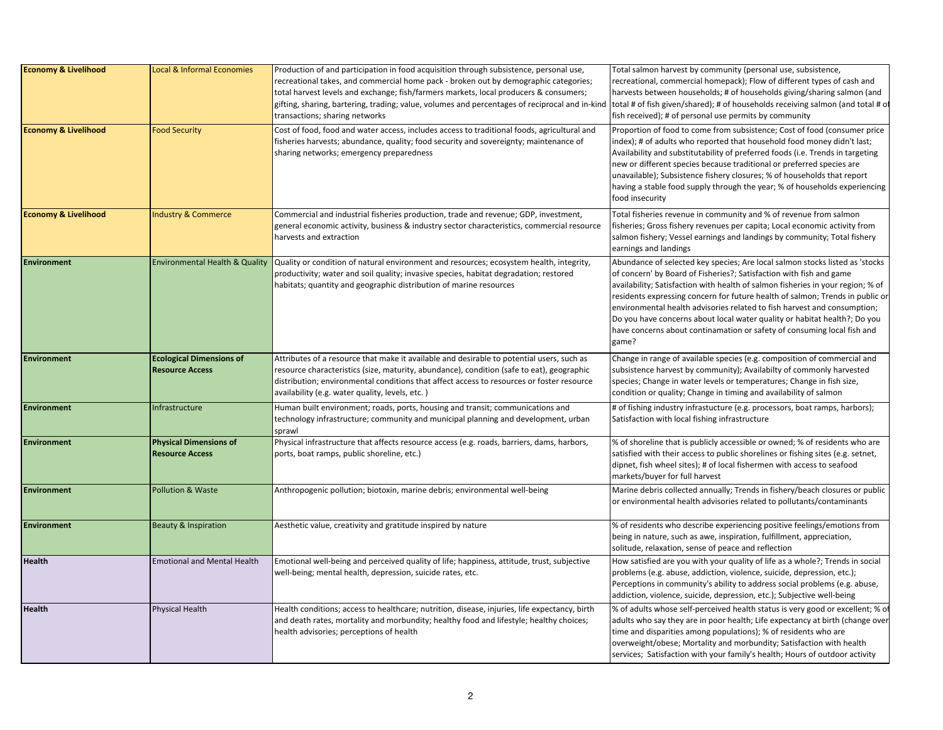| <b>Economy &amp; Livelihood</b><br><b>Economy &amp; Livelihood</b> | <b>Local &amp; Informal Economies</b><br><b>Food Security</b> | Production of and participation in food acquisition through subsistence, personal use,<br>recreational takes, and commercial home pack - broken out by demographic categories;<br>total harvest levels and exchange; fish/farmers markets, local producers & consumers;<br>gifting, sharing, bartering, trading; value, volumes and percentages of reciprocal and in-kind<br>transactions; sharing networks<br>Cost of food, food and water access, includes access to traditional foods, agricultural and | Total salmon harvest by community (personal use, subsistence,<br>recreational, commercial homepack); Flow of different types of cash and<br>harvests between households; # of households giving/sharing salmon (and<br>total # of fish given/shared); # of households receiving salmon (and total # of<br>fish received); # of personal use permits by community<br>Proportion of food to come from subsistence; Cost of food (consumer price                                                                                                                        |
|--------------------------------------------------------------------|---------------------------------------------------------------|------------------------------------------------------------------------------------------------------------------------------------------------------------------------------------------------------------------------------------------------------------------------------------------------------------------------------------------------------------------------------------------------------------------------------------------------------------------------------------------------------------|----------------------------------------------------------------------------------------------------------------------------------------------------------------------------------------------------------------------------------------------------------------------------------------------------------------------------------------------------------------------------------------------------------------------------------------------------------------------------------------------------------------------------------------------------------------------|
|                                                                    |                                                               | fisheries harvests; abundance, quality; food security and sovereignty; maintenance of<br>sharing networks; emergency preparedness                                                                                                                                                                                                                                                                                                                                                                          | index); # of adults who reported that household food money didn't last;<br>Availability and substitutability of preferred foods (i.e. Trends in targeting<br>new or different species because traditional or preferred species are<br>unavailable); Subsistence fishery closures; % of households that report<br>having a stable food supply through the year; % of households experiencing<br>food insecurity                                                                                                                                                       |
| <b>Economy &amp; Livelihood</b>                                    | <b>Industry &amp; Commerce</b>                                | Commercial and industrial fisheries production, trade and revenue; GDP, investment,<br>general economic activity, business & industry sector characteristics, commercial resource<br>harvests and extraction                                                                                                                                                                                                                                                                                               | Total fisheries revenue in community and % of revenue from salmon<br>fisheries; Gross fishery revenues per capita; Local economic activity from<br>salmon fishery; Vessel earnings and landings by community; Total fishery<br>earnings and landings                                                                                                                                                                                                                                                                                                                 |
| <b>Environment</b>                                                 | <b>Environmental Health &amp; Quality</b>                     | Quality or condition of natural environment and resources; ecosystem health, integrity,<br>productivity; water and soil quality; invasive species, habitat degradation; restored<br>habitats; quantity and geographic distribution of marine resources                                                                                                                                                                                                                                                     | Abundance of selected key species; Are local salmon stocks listed as 'stocks<br>of concern' by Board of Fisheries?; Satisfaction with fish and game<br>availability; Satisfaction with health of salmon fisheries in your region; % of<br>residents expressing concern for future health of salmon; Trends in public or<br>environmental health advisories related to fish harvest and consumption;<br>Do you have concerns about local water quality or habitat health?; Do you<br>have concerns about continamation or safety of consuming local fish and<br>game? |
| <b>Environment</b>                                                 | <b>Ecological Dimensions of</b><br><b>Resource Access</b>     | Attributes of a resource that make it available and desirable to potential users, such as<br>resource characteristics (size, maturity, abundance), condition (safe to eat), geographic<br>distribution; environmental conditions that affect access to resources or foster resource<br>availability (e.g. water quality, levels, etc.)                                                                                                                                                                     | Change in range of available species (e.g. composition of commercial and<br>subsistence harvest by community); Availabilty of commonly harvested<br>species; Change in water levels or temperatures; Change in fish size,<br>condition or quality; Change in timing and availability of salmon                                                                                                                                                                                                                                                                       |
| <b>Environment</b>                                                 | Infrastructure                                                | Human built environment; roads, ports, housing and transit; communications and<br>technology infrastructure; community and municipal planning and development, urban<br>sprawl                                                                                                                                                                                                                                                                                                                             | # of fishing industry infrastucture (e.g. processors, boat ramps, harbors);<br>Satisfaction with local fishing infrastructure                                                                                                                                                                                                                                                                                                                                                                                                                                        |
| <b>Environment</b>                                                 | <b>Physical Dimensions of</b><br><b>Resource Access</b>       | Physical infrastructure that affects resource access (e.g. roads, barriers, dams, harbors,<br>ports, boat ramps, public shoreline, etc.)                                                                                                                                                                                                                                                                                                                                                                   | % of shoreline that is publicly accessible or owned; % of residents who are<br>satisfied with their access to public shorelines or fishing sites (e.g. setnet,<br>dipnet, fish wheel sites); # of local fishermen with access to seafood<br>markets/buyer for full harvest                                                                                                                                                                                                                                                                                           |
| <b>Environment</b>                                                 | <b>Pollution &amp; Waste</b>                                  | Anthropogenic pollution; biotoxin, marine debris; environmental well-being                                                                                                                                                                                                                                                                                                                                                                                                                                 | Marine debris collected annually; Trends in fishery/beach closures or public<br>or environmental health advisories related to pollutants/contaminants                                                                                                                                                                                                                                                                                                                                                                                                                |
| <b>Environment</b>                                                 | <b>Beauty &amp; Inspiration</b>                               | Aesthetic value, creativity and gratitude inspired by nature                                                                                                                                                                                                                                                                                                                                                                                                                                               | % of residents who describe experiencing positive feelings/emotions from<br>being in nature, such as awe, inspiration, fulfillment, appreciation,<br>solitude, relaxation, sense of peace and reflection                                                                                                                                                                                                                                                                                                                                                             |
| <b>Health</b>                                                      | <b>Emotional and Mental Health</b>                            | Emotional well-being and perceived quality of life; happiness, attitude, trust, subjective<br>well-being; mental health, depression, suicide rates, etc.                                                                                                                                                                                                                                                                                                                                                   | How satisfied are you with your quality of life as a whole?; Trends in social<br>problems (e.g. abuse, addiction, violence, suicide, depression, etc.);<br>Perceptions in community's ability to address social problems (e.g. abuse,<br>addiction, violence, suicide, depression, etc.); Subjective well-being                                                                                                                                                                                                                                                      |
| <b>Health</b>                                                      | Physical Health                                               | Health conditions; access to healthcare; nutrition, disease, injuries, life expectancy, birth<br>and death rates, mortality and morbundity; healthy food and lifestyle; healthy choices;<br>health advisories; perceptions of health                                                                                                                                                                                                                                                                       | % of adults whose self-perceived health status is very good or excellent; % of<br>adults who say they are in poor health; Life expectancy at birth (change over<br>time and disparities among populations); % of residents who are<br>overweight/obese; Mortality and morbundity; Satisfaction with health<br>services; Satisfaction with your family's health; Hours of outdoor activity                                                                                                                                                                            |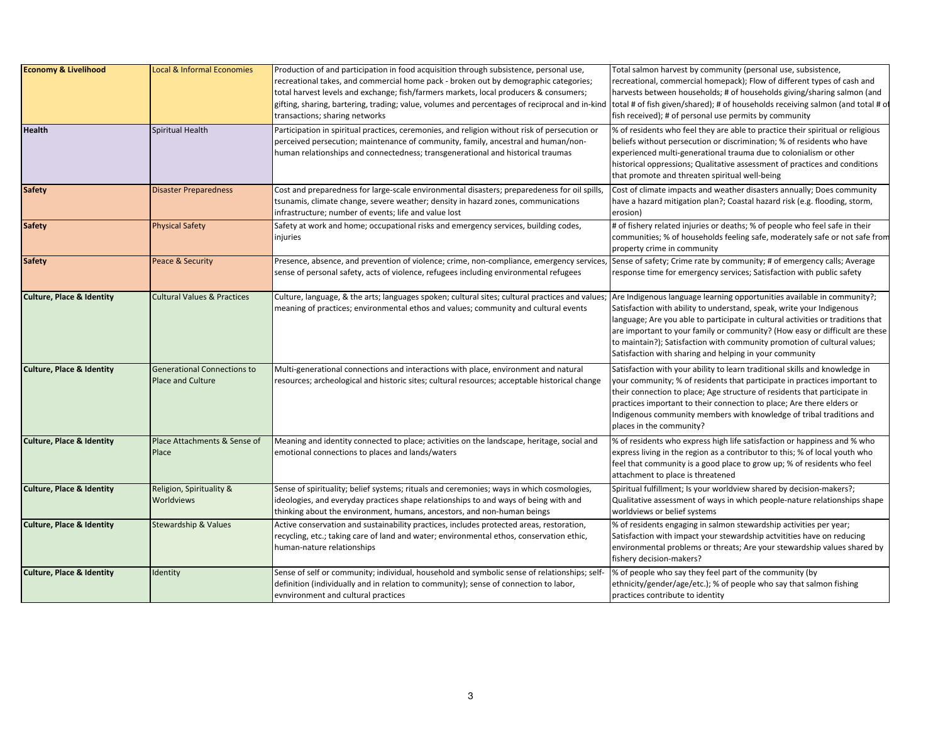| <b>Economy &amp; Livelihood</b>      | Local & Informal Economies                                     | Production of and participation in food acquisition through subsistence, personal use,<br>recreational takes, and commercial home pack - broken out by demographic categories;<br>total harvest levels and exchange; fish/farmers markets, local producers & consumers;<br>gifting, sharing, bartering, trading; value, volumes and percentages of reciprocal and in-kind<br>transactions; sharing networks | Total salmon harvest by community (personal use, subsistence,<br>recreational, commercial homepack); Flow of different types of cash and<br>harvests between households; # of households giving/sharing salmon (and<br>total # of fish given/shared); # of households receiving salmon (and total # of<br>fish received); # of personal use permits by community                                                                                          |
|--------------------------------------|----------------------------------------------------------------|-------------------------------------------------------------------------------------------------------------------------------------------------------------------------------------------------------------------------------------------------------------------------------------------------------------------------------------------------------------------------------------------------------------|-----------------------------------------------------------------------------------------------------------------------------------------------------------------------------------------------------------------------------------------------------------------------------------------------------------------------------------------------------------------------------------------------------------------------------------------------------------|
| <b>Health</b>                        | Spiritual Health                                               | Participation in spiritual practices, ceremonies, and religion without risk of persecution or<br>perceived persecution; maintenance of community, family, ancestral and human/non-<br>human relationships and connectedness; transgenerational and historical traumas                                                                                                                                       | % of residents who feel they are able to practice their spiritual or religious<br>beliefs without persecution or discrimination; % of residents who have<br>experienced multi-generational trauma due to colonialism or other<br>historical oppressions; Qualitative assessment of practices and conditions<br>that promote and threaten spiritual well-being                                                                                             |
| <b>Safety</b>                        | <b>Disaster Preparedness</b>                                   | Cost and preparedness for large-scale environmental disasters; preparedeness for oil spills,<br>tsunamis, climate change, severe weather; density in hazard zones, communications<br>infrastructure; number of events; life and value lost                                                                                                                                                                  | Cost of climate impacts and weather disasters annually; Does community<br>have a hazard mitigation plan?; Coastal hazard risk (e.g. flooding, storm,<br>erosion)                                                                                                                                                                                                                                                                                          |
| <b>Safety</b>                        | <b>Physical Safety</b>                                         | Safety at work and home; occupational risks and emergency services, building codes,<br>injuries                                                                                                                                                                                                                                                                                                             | # of fishery related injuries or deaths; % of people who feel safe in their<br>communities; % of households feeling safe, moderately safe or not safe from<br>property crime in community                                                                                                                                                                                                                                                                 |
| <b>Safety</b>                        | Peace & Security                                               | Presence, absence, and prevention of violence; crime, non-compliance, emergency services,<br>sense of personal safety, acts of violence, refugees including environmental refugees                                                                                                                                                                                                                          | Sense of safety; Crime rate by community; # of emergency calls; Average<br>response time for emergency services; Satisfaction with public safety                                                                                                                                                                                                                                                                                                          |
| <b>Culture, Place &amp; Identity</b> | <b>Cultural Values &amp; Practices</b>                         | Culture, language, & the arts; languages spoken; cultural sites; cultural practices and values;<br>meaning of practices; environmental ethos and values; community and cultural events                                                                                                                                                                                                                      | Are Indigenous language learning opportunities available in community?;<br>Satisfaction with ability to understand, speak, write your Indigenous<br>language; Are you able to participate in cultural activities or traditions that<br>are important to your family or community? (How easy or difficult are these<br>to maintain?); Satisfaction with community promotion of cultural values;<br>Satisfaction with sharing and helping in your community |
| <b>Culture, Place &amp; Identity</b> | <b>Generational Connections to</b><br><b>Place and Culture</b> | Multi-generational connections and interactions with place, environment and natural<br>resources; archeological and historic sites; cultural resources; acceptable historical change                                                                                                                                                                                                                        | Satisfaction with your ability to learn traditional skills and knowledge in<br>your community; % of residents that participate in practices important to<br>their connection to place; Age structure of residents that participate in<br>practices important to their connection to place; Are there elders or<br>Indigenous community members with knowledge of tribal traditions and<br>places in the community?                                        |
| <b>Culture, Place &amp; Identity</b> | Place Attachments & Sense of<br>Place                          | Meaning and identity connected to place; activities on the landscape, heritage, social and<br>emotional connections to places and lands/waters                                                                                                                                                                                                                                                              | % of residents who express high life satisfaction or happiness and % who<br>express living in the region as a contributor to this; % of local youth who<br>feel that community is a good place to grow up; % of residents who feel<br>attachment to place is threatened                                                                                                                                                                                   |
| <b>Culture, Place &amp; Identity</b> | Religion, Spirituality &<br>Worldviews                         | Sense of spirituality; belief systems; rituals and ceremonies; ways in which cosmologies,<br>ideologies, and everyday practices shape relationships to and ways of being with and<br>thinking about the environment, humans, ancestors, and non-human beings                                                                                                                                                | Spiritual fulfillment; Is your worldview shared by decision-makers?;<br>Qualitative assessment of ways in which people-nature relationships shape<br>worldviews or belief systems                                                                                                                                                                                                                                                                         |
| <b>Culture, Place &amp; Identity</b> | Stewardship & Values                                           | Active conservation and sustainability practices, includes protected areas, restoration,<br>recycling, etc.; taking care of land and water; environmental ethos, conservation ethic,<br>human-nature relationships                                                                                                                                                                                          | % of residents engaging in salmon stewardship activities per year;<br>Satisfaction with impact your stewardship actvitities have on reducing<br>environmental problems or threats; Are your stewardship values shared by<br>fishery decision-makers?                                                                                                                                                                                                      |
| <b>Culture, Place &amp; Identity</b> | Identity                                                       | Sense of self or community; individual, household and symbolic sense of relationships; self-<br>definition (individually and in relation to community); sense of connection to labor,<br>evnvironment and cultural practices                                                                                                                                                                                | % of people who say they feel part of the community (by<br>ethnicity/gender/age/etc.); % of people who say that salmon fishing<br>practices contribute to identity                                                                                                                                                                                                                                                                                        |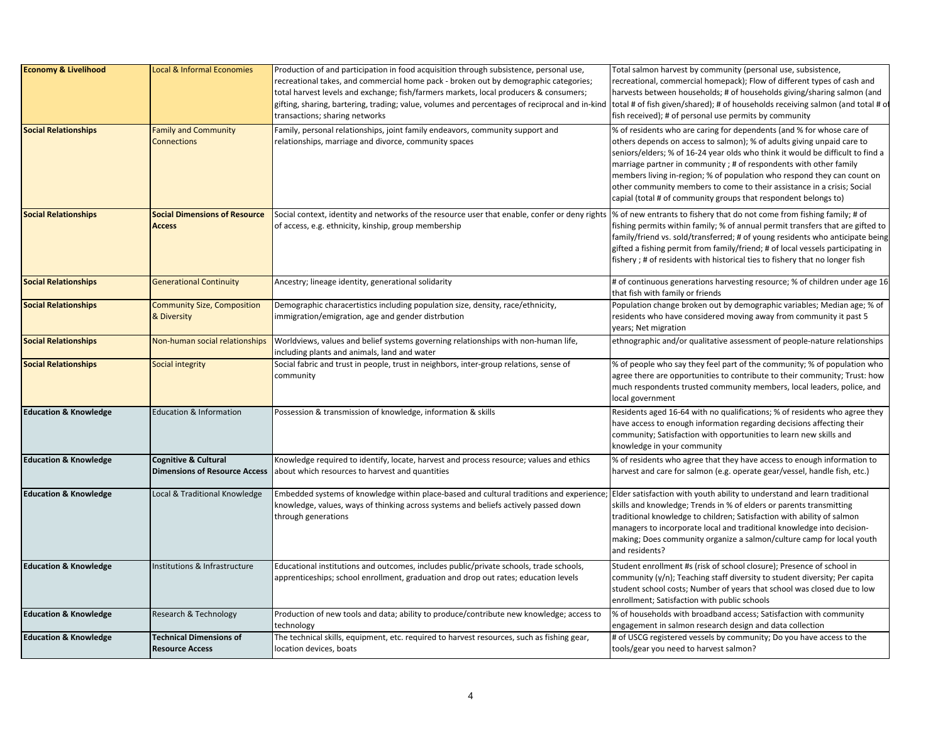| <b>Economy &amp; Livelihood</b>  | <b>Local &amp; Informal Economies</b>                                   | Production of and participation in food acquisition through subsistence, personal use,<br>recreational takes, and commercial home pack - broken out by demographic categories;<br>total harvest levels and exchange; fish/farmers markets, local producers & consumers;<br>gifting, sharing, bartering, trading; value, volumes and percentages of reciprocal and in-kind<br>transactions; sharing networks | Total salmon harvest by community (personal use, subsistence,<br>recreational, commercial homepack); Flow of different types of cash and<br>harvests between households; # of households giving/sharing salmon (and<br>total # of fish given/shared); # of households receiving salmon (and total # of<br>fish received); # of personal use permits by community                                                                                                                                                                |
|----------------------------------|-------------------------------------------------------------------------|-------------------------------------------------------------------------------------------------------------------------------------------------------------------------------------------------------------------------------------------------------------------------------------------------------------------------------------------------------------------------------------------------------------|---------------------------------------------------------------------------------------------------------------------------------------------------------------------------------------------------------------------------------------------------------------------------------------------------------------------------------------------------------------------------------------------------------------------------------------------------------------------------------------------------------------------------------|
| <b>Social Relationships</b>      | <b>Family and Community</b><br><b>Connections</b>                       | Family, personal relationships, joint family endeavors, community support and<br>relationships, marriage and divorce, community spaces                                                                                                                                                                                                                                                                      | % of residents who are caring for dependents (and % for whose care of<br>others depends on access to salmon); % of adults giving unpaid care to<br>seniors/elders; % of 16-24 year olds who think it would be difficult to find a<br>marriage partner in community; # of respondents with other family<br>members living in-region; % of population who respond they can count on<br>other community members to come to their assistance in a crisis; Social<br>capial (total # of community groups that respondent belongs to) |
| <b>Social Relationships</b>      | <b>Social Dimensions of Resource</b><br><b>Access</b>                   | Social context, identity and networks of the resource user that enable, confer or deny rights<br>of access, e.g. ethnicity, kinship, group membership                                                                                                                                                                                                                                                       | % of new entrants to fishery that do not come from fishing family; # of<br>fishing permits within family; % of annual permit transfers that are gifted to<br>family/friend vs. sold/transferred; # of young residents who anticipate being<br>gifted a fishing permit from family/friend; # of local vessels participating in<br>fishery; # of residents with historical ties to fishery that no longer fish                                                                                                                    |
| <b>Social Relationships</b>      | <b>Generational Continuity</b>                                          | Ancestry; lineage identity, generational solidarity                                                                                                                                                                                                                                                                                                                                                         | # of continuous generations harvesting resource; % of children under age 16<br>that fish with family or friends                                                                                                                                                                                                                                                                                                                                                                                                                 |
| <b>Social Relationships</b>      | <b>Community Size, Composition</b><br>& Diversity                       | Demographic characertistics including population size, density, race/ethnicity,<br>immigration/emigration, age and gender distrbution                                                                                                                                                                                                                                                                       | Population change broken out by demographic variables; Median age; % of<br>residents who have considered moving away from community it past 5<br>years; Net migration                                                                                                                                                                                                                                                                                                                                                           |
| <b>Social Relationships</b>      | Non-human social relationships                                          | Worldviews, values and belief systems governing relationships with non-human life,<br>including plants and animals, land and water                                                                                                                                                                                                                                                                          | ethnographic and/or qualitative assessment of people-nature relationships                                                                                                                                                                                                                                                                                                                                                                                                                                                       |
| <b>Social Relationships</b>      | Social integrity                                                        | Social fabric and trust in people, trust in neighbors, inter-group relations, sense of<br>community                                                                                                                                                                                                                                                                                                         | % of people who say they feel part of the community; % of population who<br>agree there are opportunities to contribute to their community; Trust: how<br>much respondents trusted community members, local leaders, police, and<br>local government                                                                                                                                                                                                                                                                            |
| <b>Education &amp; Knowledge</b> | <b>Education &amp; Information</b>                                      | Possession & transmission of knowledge, information & skills                                                                                                                                                                                                                                                                                                                                                | Residents aged 16-64 with no qualifications; % of residents who agree they<br>have access to enough information regarding decisions affecting their<br>community; Satisfaction with opportunities to learn new skills and<br>knowledge in your community                                                                                                                                                                                                                                                                        |
| <b>Education &amp; Knowledge</b> | <b>Cognitive &amp; Cultural</b><br><b>Dimensions of Resource Access</b> | Knowledge required to identify, locate, harvest and process resource; values and ethics<br>about which resources to harvest and quantities                                                                                                                                                                                                                                                                  | % of residents who agree that they have access to enough information to<br>harvest and care for salmon (e.g. operate gear/vessel, handle fish, etc.)                                                                                                                                                                                                                                                                                                                                                                            |
| <b>Education &amp; Knowledge</b> | Local & Traditional Knowledge                                           | Embedded systems of knowledge within place-based and cultural traditions and experience<br>knowledge, values, ways of thinking across systems and beliefs actively passed down<br>through generations                                                                                                                                                                                                       | Elder satisfaction with youth ability to understand and learn traditional<br>skills and knowledge; Trends in % of elders or parents transmitting<br>traditional knowledge to children; Satisfaction with ability of salmon<br>managers to incorporate local and traditional knowledge into decision-<br>making; Does community organize a salmon/culture camp for local youth<br>and residents?                                                                                                                                 |
| <b>Education &amp; Knowledge</b> | Institutions & Infrastructure                                           | Educational institutions and outcomes, includes public/private schools, trade schools,<br>apprenticeships; school enrollment, graduation and drop out rates; education levels                                                                                                                                                                                                                               | Student enrollment #s (risk of school closure); Presence of school in<br>community (y/n); Teaching staff diversity to student diversity; Per capita<br>student school costs; Number of years that school was closed due to low<br>enrollment; Satisfaction with public schools                                                                                                                                                                                                                                                  |
| <b>Education &amp; Knowledge</b> | Research & Technology                                                   | Production of new tools and data; ability to produce/contribute new knowledge; access to<br>technology                                                                                                                                                                                                                                                                                                      | % of households with broadband access; Satisfaction with community<br>engagement in salmon research design and data collection                                                                                                                                                                                                                                                                                                                                                                                                  |
| <b>Education &amp; Knowledge</b> | <b>Technical Dimensions of</b><br><b>Resource Access</b>                | The technical skills, equipment, etc. required to harvest resources, such as fishing gear,<br>location devices, boats                                                                                                                                                                                                                                                                                       | # of USCG registered vessels by community; Do you have access to the<br>tools/gear you need to harvest salmon?                                                                                                                                                                                                                                                                                                                                                                                                                  |